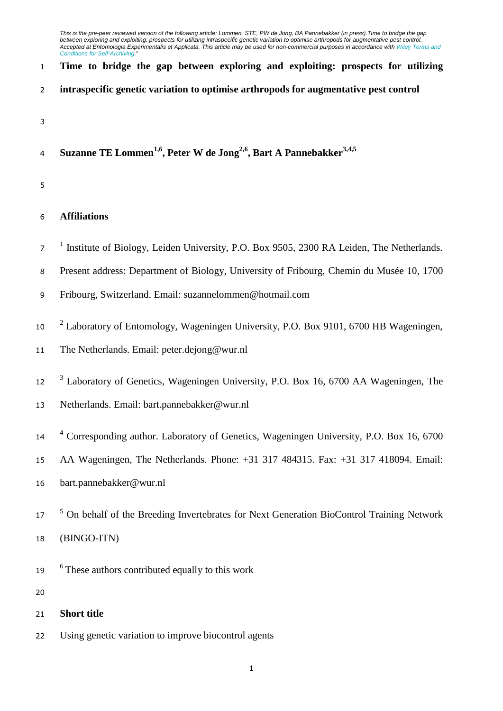## **Time to bridge the gap between exploring and exploiting: prospects for utilizing**

- **intraspecific genetic variation to optimise arthropods for augmentative pest control**
- 
- **Suzanne TE Lommen1,6 , Peter W de Jong2,6 , Bart A Pannebakker3,4,5**
- 

# **Affiliations**

- <sup>1</sup> Institute of Biology, Leiden University, P.O. Box 9505, 2300 RA Leiden, The Netherlands.
- Present address: Department of Biology, University of Fribourg, Chemin du Musée 10, 1700
- Fribourg, Switzerland. Email: suzannelommen@hotmail.com
- <sup>2</sup> Laboratory of Entomology, Wageningen University, P.O. Box 9101, 6700 HB Wageningen,
- The Netherlands. Email: peter.dejong@wur.nl
- <sup>3</sup> Laboratory of Genetics, Wageningen University, P.O. Box 16, 6700 AA Wageningen, The
- Netherlands. Email: bart.pannebakker@wur.nl
- <sup>4</sup> Corresponding author. Laboratory of Genetics, Wageningen University, P.O. Box 16, 6700
- AA Wageningen, The Netherlands. Phone: +31 317 484315. Fax: +31 317 418094. Email:
- bart.pannebakker@wur.nl
- <sup>5</sup> On behalf of the Breeding Invertebrates for Next Generation BioControl Training Network
- (BINGO-ITN)
- <sup>6</sup> These authors contributed equally to this work
- 
- **Short title**
- Using genetic variation to improve biocontrol agents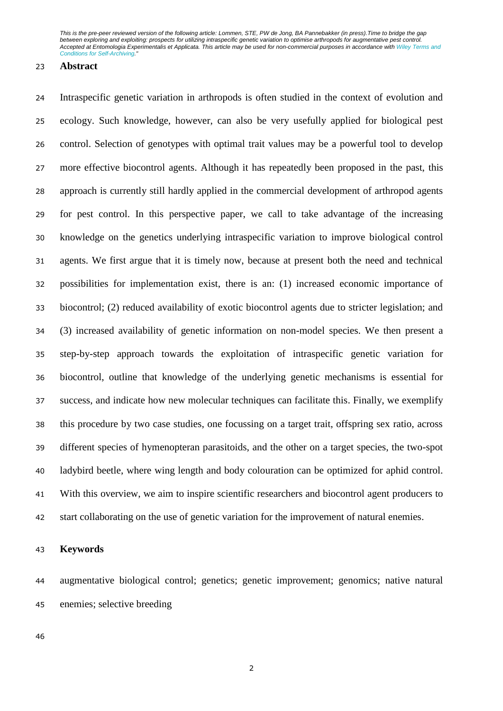### **Abstract**

 Intraspecific genetic variation in arthropods is often studied in the context of evolution and ecology. Such knowledge, however, can also be very usefully applied for biological pest control. Selection of genotypes with optimal trait values may be a powerful tool to develop more effective biocontrol agents. Although it has repeatedly been proposed in the past, this approach is currently still hardly applied in the commercial development of arthropod agents for pest control. In this perspective paper, we call to take advantage of the increasing knowledge on the genetics underlying intraspecific variation to improve biological control agents. We first argue that it is timely now, because at present both the need and technical possibilities for implementation exist, there is an: (1) increased economic importance of biocontrol; (2) reduced availability of exotic biocontrol agents due to stricter legislation; and (3) increased availability of genetic information on non-model species. We then present a step-by-step approach towards the exploitation of intraspecific genetic variation for biocontrol, outline that knowledge of the underlying genetic mechanisms is essential for success, and indicate how new molecular techniques can facilitate this. Finally, we exemplify this procedure by two case studies, one focussing on a target trait, offspring sex ratio, across different species of hymenopteran parasitoids, and the other on a target species, the two-spot ladybird beetle, where wing length and body colouration can be optimized for aphid control. With this overview, we aim to inspire scientific researchers and biocontrol agent producers to start collaborating on the use of genetic variation for the improvement of natural enemies.

### **Keywords**

 augmentative biological control; genetics; genetic improvement; genomics; native natural enemies; selective breeding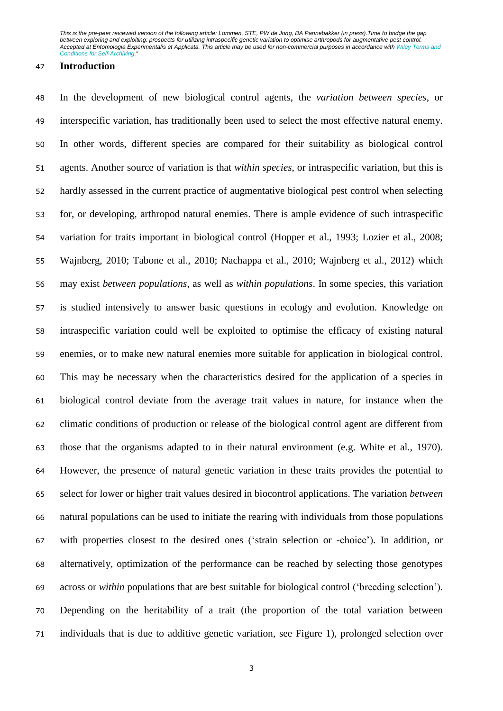#### **Introduction**

 In the development of new biological control agents, the *variation between species*, or interspecific variation, has traditionally been used to select the most effective natural enemy. In other words, different species are compared for their suitability as biological control agents. Another source of variation is that *within species*, or intraspecific variation, but this is hardly assessed in the current practice of augmentative biological pest control when selecting for, or developing, arthropod natural enemies. There is ample evidence of such intraspecific variation for traits important in biological control (Hopper et al., 1993; Lozier et al., 2008; Wajnberg, 2010; Tabone et al., 2010; Nachappa et al., 2010; Wajnberg et al., 2012) which may exist *between populations*, as well as *within populations*. In some species, this variation is studied intensively to answer basic questions in ecology and evolution. Knowledge on intraspecific variation could well be exploited to optimise the efficacy of existing natural enemies, or to make new natural enemies more suitable for application in biological control. This may be necessary when the characteristics desired for the application of a species in biological control deviate from the average trait values in nature, for instance when the climatic conditions of production or release of the biological control agent are different from those that the organisms adapted to in their natural environment (e.g. White et al., 1970). However, the presence of natural genetic variation in these traits provides the potential to select for lower or higher trait values desired in biocontrol applications. The variation *between* natural populations can be used to initiate the rearing with individuals from those populations with properties closest to the desired ones ('strain selection or -choice'). In addition, or alternatively, optimization of the performance can be reached by selecting those genotypes across or *within* populations that are best suitable for biological control ('breeding selection'). Depending on the heritability of a trait (the proportion of the total variation between individuals that is due to additive genetic variation, see Figure 1), prolonged selection over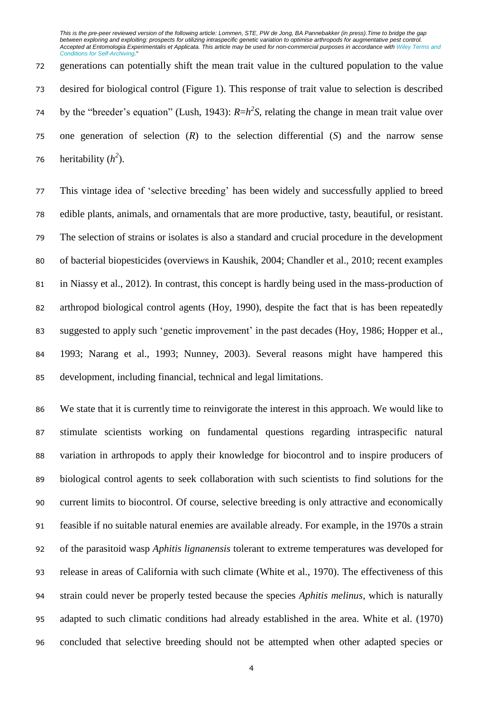generations can potentially shift the mean trait value in the cultured population to the value desired for biological control (Figure 1). This response of trait value to selection is described 74 by the "breeder's equation" (Lush, 1943):  $R=h^2S$ , relating the change in mean trait value over one generation of selection (*R*) to the selection differential (*S*) and the narrow sense 76 heritability  $(h^2)$ .

 This vintage idea of 'selective breeding' has been widely and successfully applied to breed edible plants, animals, and ornamentals that are more productive, tasty, beautiful, or resistant. The selection of strains or isolates is also a standard and crucial procedure in the development of bacterial biopesticides (overviews in Kaushik, 2004; Chandler et al., 2010; recent examples in Niassy et al., 2012). In contrast, this concept is hardly being used in the mass-production of arthropod biological control agents (Hoy, 1990), despite the fact that is has been repeatedly suggested to apply such 'genetic improvement' in the past decades (Hoy, 1986; Hopper et al., 1993; Narang et al., 1993; Nunney, 2003). Several reasons might have hampered this development, including financial, technical and legal limitations.

 We state that it is currently time to reinvigorate the interest in this approach. We would like to stimulate scientists working on fundamental questions regarding intraspecific natural variation in arthropods to apply their knowledge for biocontrol and to inspire producers of biological control agents to seek collaboration with such scientists to find solutions for the current limits to biocontrol. Of course, selective breeding is only attractive and economically feasible if no suitable natural enemies are available already. For example, in the 1970s a strain of the parasitoid wasp *Aphitis lignanensis* tolerant to extreme temperatures was developed for release in areas of California with such climate (White et al., 1970). The effectiveness of this strain could never be properly tested because the species *Aphitis melinus*, which is naturally adapted to such climatic conditions had already established in the area. White et al. (1970) concluded that selective breeding should not be attempted when other adapted species or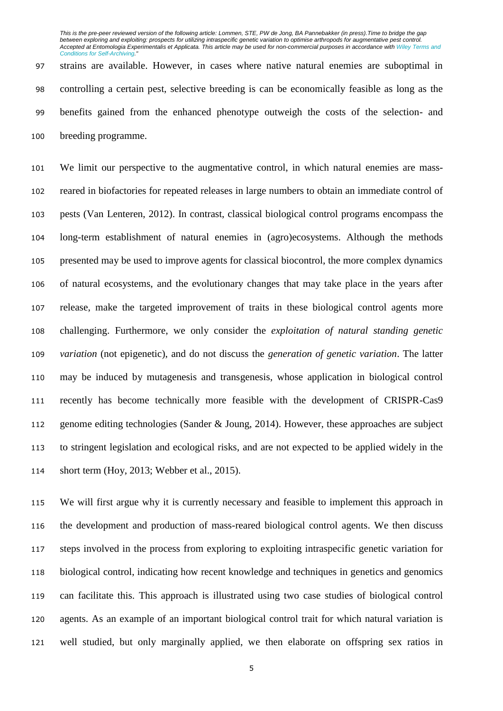strains are available. However, in cases where native natural enemies are suboptimal in controlling a certain pest, selective breeding is can be economically feasible as long as the benefits gained from the enhanced phenotype outweigh the costs of the selection- and breeding programme.

 We limit our perspective to the augmentative control, in which natural enemies are mass- reared in biofactories for repeated releases in large numbers to obtain an immediate control of pests (Van Lenteren, 2012). In contrast, classical biological control programs encompass the long-term establishment of natural enemies in (agro)ecosystems. Although the methods presented may be used to improve agents for classical biocontrol, the more complex dynamics of natural ecosystems, and the evolutionary changes that may take place in the years after release, make the targeted improvement of traits in these biological control agents more challenging. Furthermore, we only consider the *exploitation of natural standing genetic variation* (not epigenetic), and do not discuss the *generation of genetic variation*. The latter may be induced by mutagenesis and transgenesis, whose application in biological control recently has become technically more feasible with the development of CRISPR-Cas9 genome editing technologies (Sander & Joung, 2014). However, these approaches are subject to stringent legislation and ecological risks, and are not expected to be applied widely in the short term (Hoy, 2013; Webber et al., 2015).

 We will first argue why it is currently necessary and feasible to implement this approach in the development and production of mass-reared biological control agents. We then discuss steps involved in the process from exploring to exploiting intraspecific genetic variation for biological control, indicating how recent knowledge and techniques in genetics and genomics can facilitate this. This approach is illustrated using two case studies of biological control agents. As an example of an important biological control trait for which natural variation is well studied, but only marginally applied, we then elaborate on offspring sex ratios in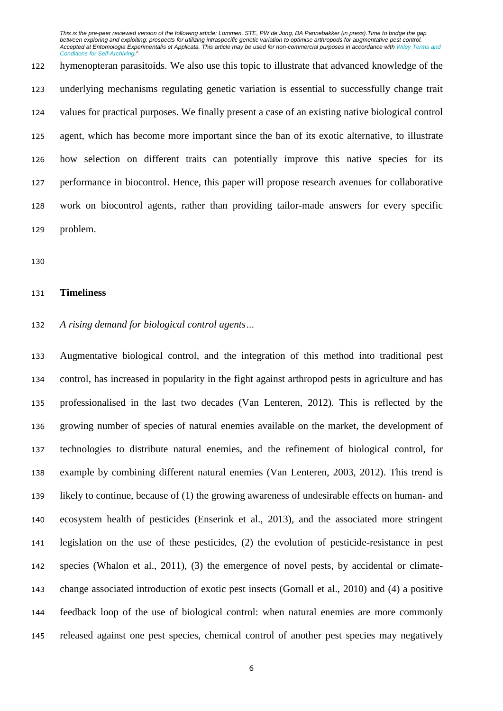hymenopteran parasitoids. We also use this topic to illustrate that advanced knowledge of the underlying mechanisms regulating genetic variation is essential to successfully change trait values for practical purposes. We finally present a case of an existing native biological control agent, which has become more important since the ban of its exotic alternative, to illustrate how selection on different traits can potentially improve this native species for its performance in biocontrol. Hence, this paper will propose research avenues for collaborative work on biocontrol agents, rather than providing tailor-made answers for every specific problem.

## **Timeliness**

# *A rising demand for biological control agents…*

 Augmentative biological control, and the integration of this method into traditional pest control, has increased in popularity in the fight against arthropod pests in agriculture and has professionalised in the last two decades (Van Lenteren, 2012). This is reflected by the growing number of species of natural enemies available on the market, the development of technologies to distribute natural enemies, and the refinement of biological control, for example by combining different natural enemies (Van Lenteren, 2003, 2012). This trend is likely to continue, because of (1) the growing awareness of undesirable effects on human- and ecosystem health of pesticides (Enserink et al., 2013), and the associated more stringent legislation on the use of these pesticides, (2) the evolution of pesticide-resistance in pest species (Whalon et al., 2011), (3) the emergence of novel pests, by accidental or climate- change associated introduction of exotic pest insects (Gornall et al., 2010) and (4) a positive feedback loop of the use of biological control: when natural enemies are more commonly released against one pest species, chemical control of another pest species may negatively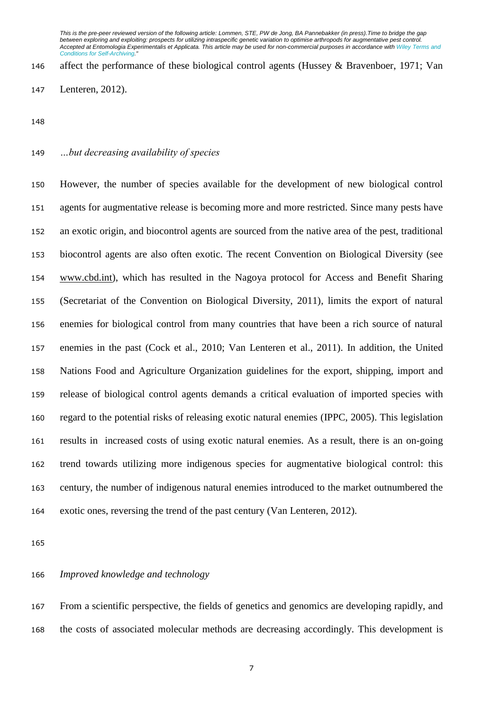affect the performance of these biological control agents (Hussey & Bravenboer, 1971; Van Lenteren, 2012).

# *…but decreasing availability of species*

 However, the number of species available for the development of new biological control agents for augmentative release is becoming more and more restricted. Since many pests have an exotic origin, and biocontrol agents are sourced from the native area of the pest, traditional biocontrol agents are also often exotic. The recent Convention on Biological Diversity (see [www.cbd.int\)](http://www.cbd.int/), which has resulted in the Nagoya protocol for Access and Benefit Sharing (Secretariat of the Convention on Biological Diversity, 2011), limits the export of natural enemies for biological control from many countries that have been a rich source of natural enemies in the past (Cock et al., 2010; Van Lenteren et al., 2011). In addition, the United Nations Food and Agriculture Organization guidelines for the export, shipping, import and release of biological control agents demands a critical evaluation of imported species with regard to the potential risks of releasing exotic natural enemies (IPPC, 2005). This legislation results in increased costs of using exotic natural enemies. As a result, there is an on-going trend towards utilizing more indigenous species for augmentative biological control: this century, the number of indigenous natural enemies introduced to the market outnumbered the exotic ones, reversing the trend of the past century (Van Lenteren, 2012).

## *Improved knowledge and technology*

 From a scientific perspective, the fields of genetics and genomics are developing rapidly, and the costs of associated molecular methods are decreasing accordingly. This development is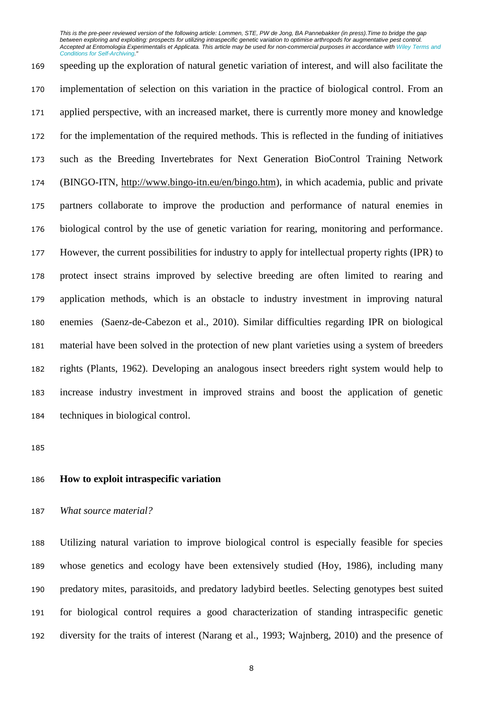speeding up the exploration of natural genetic variation of interest, and will also facilitate the implementation of selection on this variation in the practice of biological control. From an applied perspective, with an increased market, there is currently more money and knowledge for the implementation of the required methods. This is reflected in the funding of initiatives such as the Breeding Invertebrates for Next Generation BioControl Training Network (BINGO-ITN, [http://www.bingo-itn.eu/en/bingo.htm\)](http://www.bingo-itn.eu/en/bingo.htm), in which academia, public and private partners collaborate to improve the production and performance of natural enemies in biological control by the use of genetic variation for rearing, monitoring and performance. However, the current possibilities for industry to apply for intellectual property rights (IPR) to protect insect strains improved by selective breeding are often limited to rearing and application methods, which is an obstacle to industry investment in improving natural enemies (Saenz-de-Cabezon et al., 2010). Similar difficulties regarding IPR on biological material have been solved in the protection of new plant varieties using a system of breeders rights (Plants, 1962). Developing an analogous insect breeders right system would help to increase industry investment in improved strains and boost the application of genetic techniques in biological control.

# **How to exploit intraspecific variation**

### *What source material?*

 Utilizing natural variation to improve biological control is especially feasible for species whose genetics and ecology have been extensively studied (Hoy, 1986), including many predatory mites, parasitoids, and predatory ladybird beetles. Selecting genotypes best suited for biological control requires a good characterization of standing intraspecific genetic diversity for the traits of interest (Narang et al., 1993; Wajnberg, 2010) and the presence of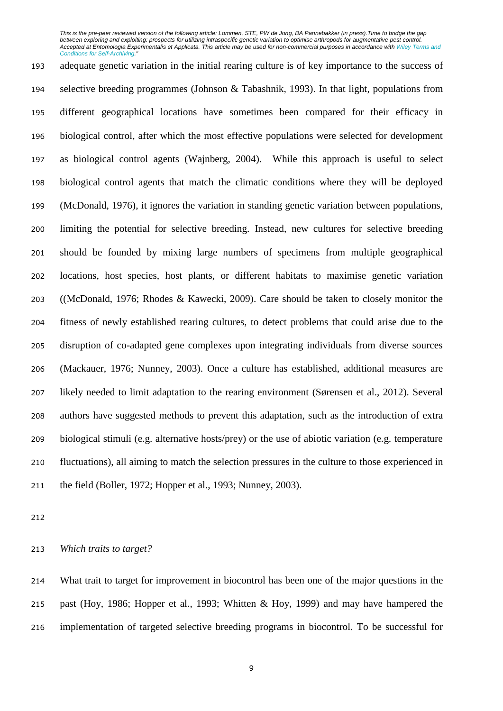adequate genetic variation in the initial rearing culture is of key importance to the success of selective breeding programmes (Johnson & Tabashnik, 1993). In that light, populations from different geographical locations have sometimes been compared for their efficacy in biological control, after which the most effective populations were selected for development as biological control agents (Wajnberg, 2004). While this approach is useful to select biological control agents that match the climatic conditions where they will be deployed (McDonald, 1976), it ignores the variation in standing genetic variation between populations, limiting the potential for selective breeding. Instead, new cultures for selective breeding should be founded by mixing large numbers of specimens from multiple geographical locations, host species, host plants, or different habitats to maximise genetic variation ((McDonald, 1976; Rhodes & Kawecki, 2009). Care should be taken to closely monitor the fitness of newly established rearing cultures, to detect problems that could arise due to the disruption of co-adapted gene complexes upon integrating individuals from diverse sources (Mackauer, 1976; Nunney, 2003). Once a culture has established, additional measures are likely needed to limit adaptation to the rearing environment (Sørensen et al., 2012). Several authors have suggested methods to prevent this adaptation, such as the introduction of extra biological stimuli (e.g. alternative hosts/prey) or the use of abiotic variation (e.g. temperature fluctuations), all aiming to match the selection pressures in the culture to those experienced in the field (Boller, 1972; Hopper et al., 1993; Nunney, 2003).

*Which traits to target?*

 What trait to target for improvement in biocontrol has been one of the major questions in the past (Hoy, 1986; Hopper et al., 1993; Whitten & Hoy, 1999) and may have hampered the implementation of targeted selective breeding programs in biocontrol. To be successful for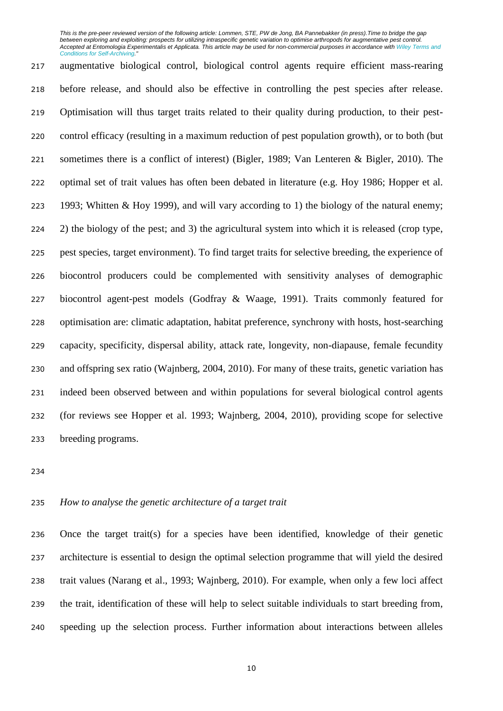augmentative biological control, biological control agents require efficient mass-rearing before release, and should also be effective in controlling the pest species after release. Optimisation will thus target traits related to their quality during production, to their pest- control efficacy (resulting in a maximum reduction of pest population growth), or to both (but sometimes there is a conflict of interest) (Bigler, 1989; Van Lenteren & Bigler, 2010). The optimal set of trait values has often been debated in literature (e.g. Hoy 1986; Hopper et al. 1993; Whitten & Hoy 1999), and will vary according to 1) the biology of the natural enemy; 2) the biology of the pest; and 3) the agricultural system into which it is released (crop type, pest species, target environment). To find target traits for selective breeding, the experience of biocontrol producers could be complemented with sensitivity analyses of demographic biocontrol agent-pest models (Godfray & Waage, 1991). Traits commonly featured for optimisation are: climatic adaptation, habitat preference, synchrony with hosts, host-searching capacity, specificity, dispersal ability, attack rate, longevity, non-diapause, female fecundity and offspring sex ratio (Wajnberg, 2004, 2010). For many of these traits, genetic variation has indeed been observed between and within populations for several biological control agents (for reviews see Hopper et al. 1993; Wajnberg, 2004, 2010), providing scope for selective breeding programs.

# *How to analyse the genetic architecture of a target trait*

 Once the target trait(s) for a species have been identified, knowledge of their genetic architecture is essential to design the optimal selection programme that will yield the desired trait values (Narang et al., 1993; Wajnberg, 2010). For example, when only a few loci affect the trait, identification of these will help to select suitable individuals to start breeding from, speeding up the selection process. Further information about interactions between alleles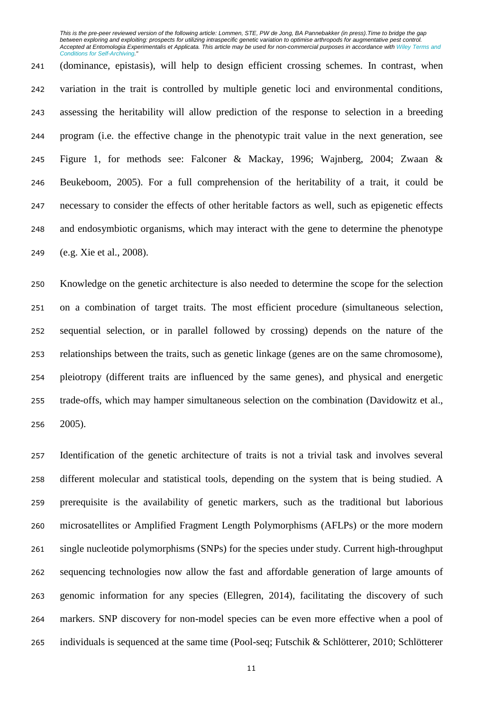(dominance, epistasis), will help to design efficient crossing schemes. In contrast, when variation in the trait is controlled by multiple genetic loci and environmental conditions, assessing the heritability will allow prediction of the response to selection in a breeding program (i.e. the effective change in the phenotypic trait value in the next generation, see Figure 1, for methods see: Falconer & Mackay, 1996; Wajnberg, 2004; Zwaan & Beukeboom, 2005). For a full comprehension of the heritability of a trait, it could be necessary to consider the effects of other heritable factors as well, such as epigenetic effects and endosymbiotic organisms, which may interact with the gene to determine the phenotype (e.g. Xie et al., 2008).

 Knowledge on the genetic architecture is also needed to determine the scope for the selection on a combination of target traits. The most efficient procedure (simultaneous selection, sequential selection, or in parallel followed by crossing) depends on the nature of the relationships between the traits, such as genetic linkage (genes are on the same chromosome), pleiotropy (different traits are influenced by the same genes), and physical and energetic trade-offs, which may hamper simultaneous selection on the combination (Davidowitz et al., 2005).

 Identification of the genetic architecture of traits is not a trivial task and involves several different molecular and statistical tools, depending on the system that is being studied. A prerequisite is the availability of genetic markers, such as the traditional but laborious microsatellites or Amplified Fragment Length Polymorphisms (AFLPs) or the more modern single nucleotide polymorphisms (SNPs) for the species under study. Current high-throughput sequencing technologies now allow the fast and affordable generation of large amounts of genomic information for any species (Ellegren, 2014), facilitating the discovery of such markers. SNP discovery for non-model species can be even more effective when a pool of individuals is sequenced at the same time (Pool-seq; Futschik & Schlötterer, 2010; Schlötterer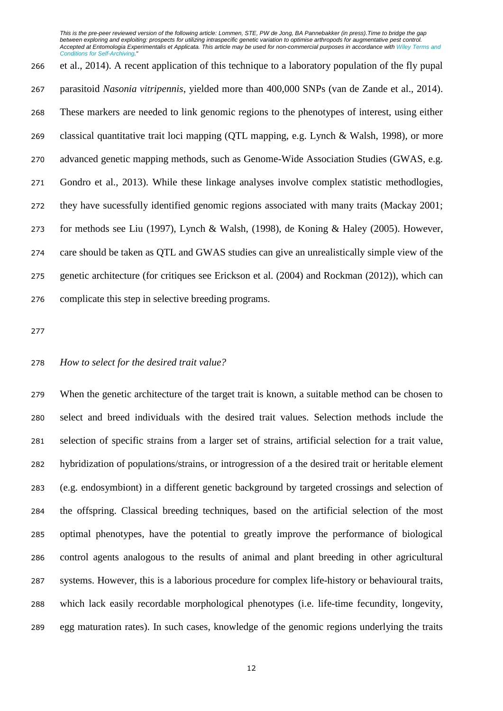et al., 2014). A recent application of this technique to a laboratory population of the fly pupal parasitoid *Nasonia vitripennis*, yielded more than 400,000 SNPs (van de Zande et al., 2014). These markers are needed to link genomic regions to the phenotypes of interest, using either classical quantitative trait loci mapping (QTL mapping, e.g. Lynch & Walsh, 1998), or more advanced genetic mapping methods, such as Genome-Wide Association Studies (GWAS, e.g. Gondro et al., 2013). While these linkage analyses involve complex statistic methodlogies, they have sucessfully identified genomic regions associated with many traits (Mackay 2001; for methods see Liu (1997), Lynch & Walsh, (1998), de Koning & Haley (2005). However, care should be taken as QTL and GWAS studies can give an unrealistically simple view of the genetic architecture (for critiques see Erickson et al. (2004) and Rockman (2012)), which can complicate this step in selective breeding programs.

### *How to select for the desired trait value?*

 When the genetic architecture of the target trait is known, a suitable method can be chosen to select and breed individuals with the desired trait values. Selection methods include the selection of specific strains from a larger set of strains, artificial selection for a trait value, hybridization of populations/strains, or introgression of a the desired trait or heritable element (e.g. endosymbiont) in a different genetic background by targeted crossings and selection of the offspring. Classical breeding techniques, based on the artificial selection of the most optimal phenotypes, have the potential to greatly improve the performance of biological control agents analogous to the results of animal and plant breeding in other agricultural systems. However, this is a laborious procedure for complex life-history or behavioural traits, which lack easily recordable morphological phenotypes (i.e. life-time fecundity, longevity, egg maturation rates). In such cases, knowledge of the genomic regions underlying the traits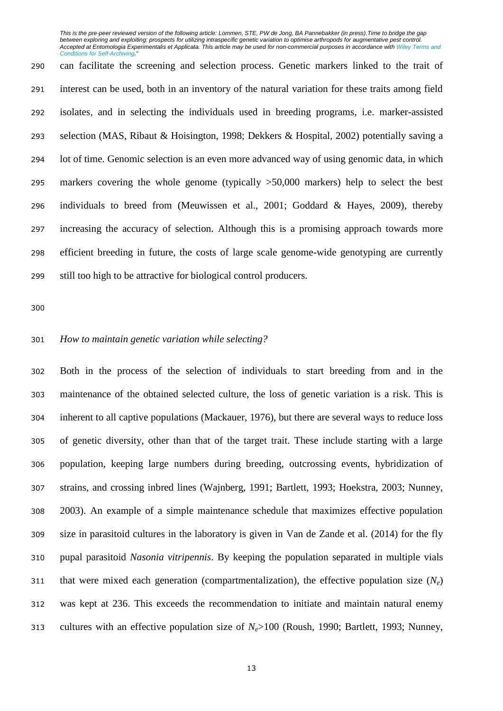can facilitate the screening and selection process. Genetic markers linked to the trait of interest can be used, both in an inventory of the natural variation for these traits among field isolates, and in selecting the individuals used in breeding programs, i.e. marker-assisted selection (MAS, Ribaut & Hoisington, 1998; Dekkers & Hospital, 2002) potentially saving a lot of time. Genomic selection is an even more advanced way of using genomic data, in which markers covering the whole genome (typically >50,000 markers) help to select the best individuals to breed from (Meuwissen et al., 2001; Goddard & Hayes, 2009), thereby increasing the accuracy of selection. Although this is a promising approach towards more efficient breeding in future, the costs of large scale genome-wide genotyping are currently still too high to be attractive for biological control producers.

# *How to maintain genetic variation while selecting?*

 Both in the process of the selection of individuals to start breeding from and in the maintenance of the obtained selected culture, the loss of genetic variation is a risk. This is inherent to all captive populations (Mackauer, 1976), but there are several ways to reduce loss of genetic diversity, other than that of the target trait. These include starting with a large population, keeping large numbers during breeding, outcrossing events, hybridization of strains, and crossing inbred lines (Wajnberg, 1991; Bartlett, 1993; Hoekstra, 2003; Nunney, 2003). An example of a simple maintenance schedule that maximizes effective population size in parasitoid cultures in the laboratory is given in Van de Zande et al. (2014) for the fly pupal parasitoid *Nasonia vitripennis*. By keeping the population separated in multiple vials that were mixed each generation (compartmentalization), the effective population size (*Ne*) was kept at 236. This exceeds the recommendation to initiate and maintain natural enemy cultures with an effective population size of *Ne*>100 (Roush, 1990; Bartlett, 1993; Nunney,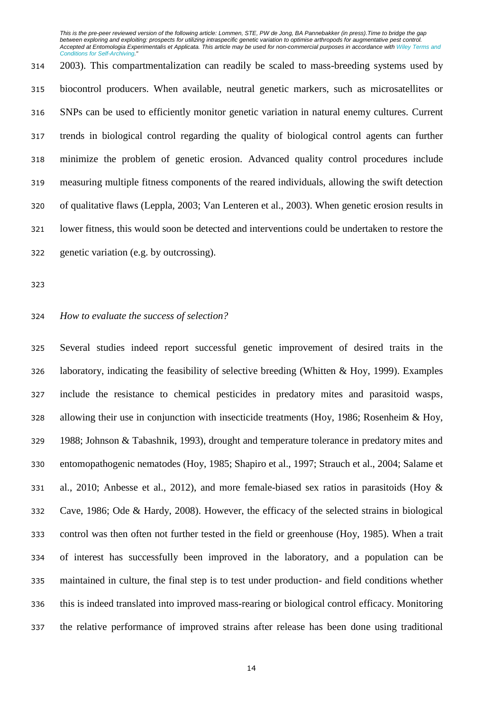2003). This compartmentalization can readily be scaled to mass-breeding systems used by biocontrol producers. When available, neutral genetic markers, such as microsatellites or SNPs can be used to efficiently monitor genetic variation in natural enemy cultures. Current trends in biological control regarding the quality of biological control agents can further minimize the problem of genetic erosion. Advanced quality control procedures include measuring multiple fitness components of the reared individuals, allowing the swift detection of qualitative flaws (Leppla, 2003; Van Lenteren et al., 2003). When genetic erosion results in lower fitness, this would soon be detected and interventions could be undertaken to restore the genetic variation (e.g. by outcrossing).

## *How to evaluate the success of selection?*

 Several studies indeed report successful genetic improvement of desired traits in the laboratory, indicating the feasibility of selective breeding (Whitten & Hoy, 1999). Examples include the resistance to chemical pesticides in predatory mites and parasitoid wasps, allowing their use in conjunction with insecticide treatments (Hoy, 1986; Rosenheim & Hoy, 1988; Johnson & Tabashnik, 1993), drought and temperature tolerance in predatory mites and entomopathogenic nematodes (Hoy, 1985; Shapiro et al., 1997; Strauch et al., 2004; Salame et al., 2010; Anbesse et al., 2012), and more female-biased sex ratios in parasitoids (Hoy & Cave, 1986; Ode & Hardy, 2008). However, the efficacy of the selected strains in biological control was then often not further tested in the field or greenhouse (Hoy, 1985). When a trait of interest has successfully been improved in the laboratory, and a population can be maintained in culture, the final step is to test under production- and field conditions whether this is indeed translated into improved mass-rearing or biological control efficacy. Monitoring the relative performance of improved strains after release has been done using traditional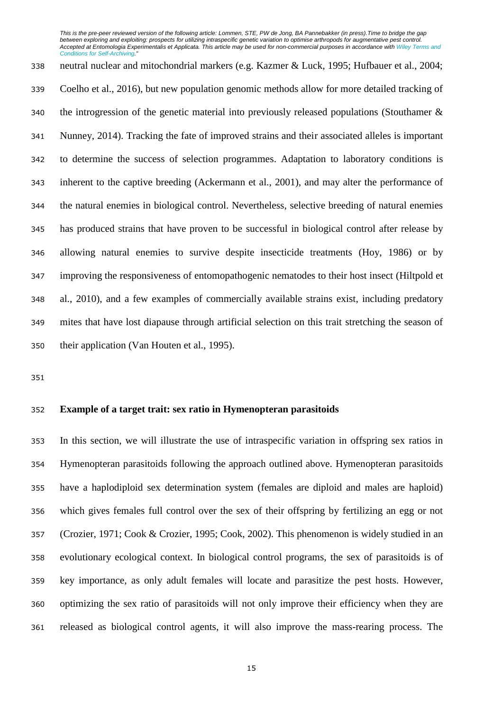neutral nuclear and mitochondrial markers (e.g. Kazmer & Luck, 1995; Hufbauer et al., 2004; Coelho et al., 2016), but new population genomic methods allow for more detailed tracking of the introgression of the genetic material into previously released populations (Stouthamer & Nunney, 2014). Tracking the fate of improved strains and their associated alleles is important to determine the success of selection programmes. Adaptation to laboratory conditions is inherent to the captive breeding (Ackermann et al., 2001), and may alter the performance of the natural enemies in biological control. Nevertheless, selective breeding of natural enemies has produced strains that have proven to be successful in biological control after release by allowing natural enemies to survive despite insecticide treatments (Hoy, 1986) or by improving the responsiveness of entomopathogenic nematodes to their host insect (Hiltpold et al., 2010), and a few examples of commercially available strains exist, including predatory mites that have lost diapause through artificial selection on this trait stretching the season of their application (Van Houten et al., 1995).

## **Example of a target trait: sex ratio in Hymenopteran parasitoids**

 In this section, we will illustrate the use of intraspecific variation in offspring sex ratios in Hymenopteran parasitoids following the approach outlined above. Hymenopteran parasitoids have a haplodiploid sex determination system (females are diploid and males are haploid) which gives females full control over the sex of their offspring by fertilizing an egg or not (Crozier, 1971; Cook & Crozier, 1995; Cook, 2002). This phenomenon is widely studied in an evolutionary ecological context. In biological control programs, the sex of parasitoids is of key importance, as only adult females will locate and parasitize the pest hosts. However, optimizing the sex ratio of parasitoids will not only improve their efficiency when they are released as biological control agents, it will also improve the mass-rearing process. The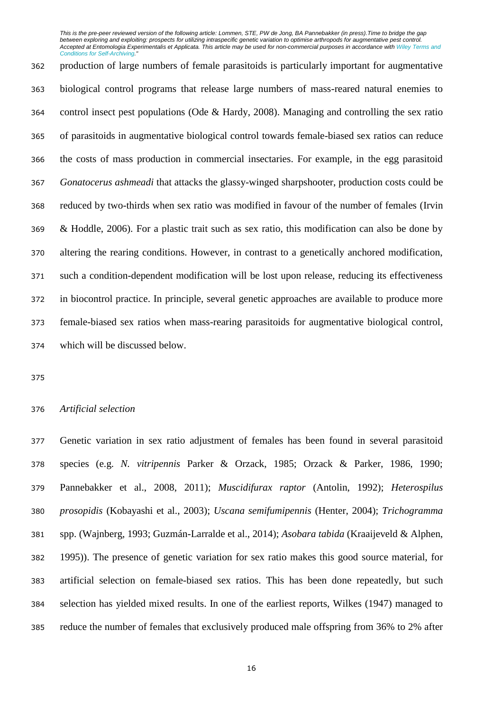production of large numbers of female parasitoids is particularly important for augmentative biological control programs that release large numbers of mass-reared natural enemies to control insect pest populations (Ode & Hardy, 2008). Managing and controlling the sex ratio of parasitoids in augmentative biological control towards female-biased sex ratios can reduce the costs of mass production in commercial insectaries. For example, in the egg parasitoid *Gonatocerus ashmeadi* that attacks the glassy-winged sharpshooter, production costs could be reduced by two-thirds when sex ratio was modified in favour of the number of females (Irvin & Hoddle, 2006). For a plastic trait such as sex ratio, this modification can also be done by altering the rearing conditions. However, in contrast to a genetically anchored modification, such a condition-dependent modification will be lost upon release, reducing its effectiveness in biocontrol practice. In principle, several genetic approaches are available to produce more female-biased sex ratios when mass-rearing parasitoids for augmentative biological control, which will be discussed below.

### *Artificial selection*

 Genetic variation in sex ratio adjustment of females has been found in several parasitoid species (e.g. *N. vitripennis* Parker & Orzack, 1985; Orzack & Parker, 1986, 1990; Pannebakker et al., 2008, 2011); *Muscidifurax raptor* (Antolin, 1992); *Heterospilus prosopidis* (Kobayashi et al., 2003); *Uscana semifumipennis* (Henter, 2004); *Trichogramma* spp. (Wajnberg, 1993; Guzmán-Larralde et al., 2014); *Asobara tabida* (Kraaijeveld & Alphen, 1995)). The presence of genetic variation for sex ratio makes this good source material, for artificial selection on female-biased sex ratios. This has been done repeatedly, but such selection has yielded mixed results. In one of the earliest reports, Wilkes (1947) managed to reduce the number of females that exclusively produced male offspring from 36% to 2% after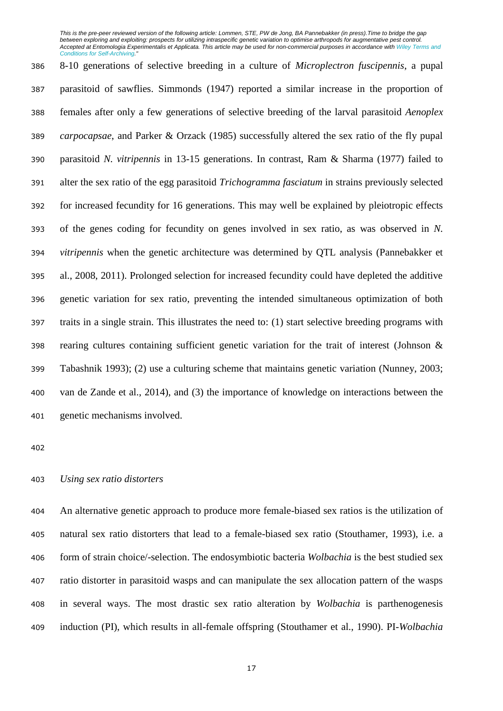8-10 generations of selective breeding in a culture of *Microplectron fuscipennis*, a pupal parasitoid of sawflies. Simmonds (1947) reported a similar increase in the proportion of females after only a few generations of selective breeding of the larval parasitoid *Aenoplex carpocapsae*, and Parker & Orzack (1985) successfully altered the sex ratio of the fly pupal parasitoid *N. vitripennis* in 13-15 generations. In contrast, Ram & Sharma (1977) failed to alter the sex ratio of the egg parasitoid *Trichogramma fasciatum* in strains previously selected for increased fecundity for 16 generations. This may well be explained by pleiotropic effects of the genes coding for fecundity on genes involved in sex ratio, as was observed in *N. vitripennis* when the genetic architecture was determined by QTL analysis (Pannebakker et al., 2008, 2011). Prolonged selection for increased fecundity could have depleted the additive genetic variation for sex ratio, preventing the intended simultaneous optimization of both traits in a single strain. This illustrates the need to: (1) start selective breeding programs with rearing cultures containing sufficient genetic variation for the trait of interest (Johnson & Tabashnik 1993); (2) use a culturing scheme that maintains genetic variation (Nunney, 2003; van de Zande et al., 2014), and (3) the importance of knowledge on interactions between the genetic mechanisms involved.

### *Using sex ratio distorters*

 An alternative genetic approach to produce more female-biased sex ratios is the utilization of natural sex ratio distorters that lead to a female-biased sex ratio (Stouthamer, 1993), i.e. a form of strain choice/-selection. The endosymbiotic bacteria *Wolbachia* is the best studied sex ratio distorter in parasitoid wasps and can manipulate the sex allocation pattern of the wasps in several ways. The most drastic sex ratio alteration by *Wolbachia* is parthenogenesis induction (PI), which results in all-female offspring (Stouthamer et al., 1990). PI-*Wolbachia*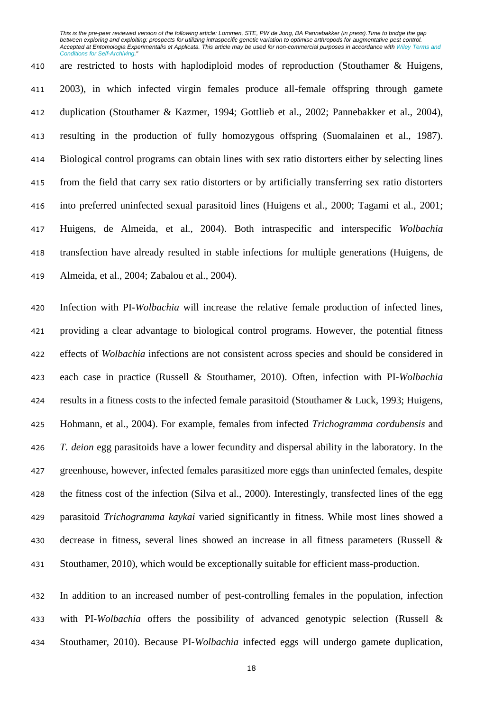are restricted to hosts with haplodiploid modes of reproduction (Stouthamer & Huigens, 2003), in which infected virgin females produce all-female offspring through gamete duplication (Stouthamer & Kazmer, 1994; Gottlieb et al., 2002; Pannebakker et al., 2004), resulting in the production of fully homozygous offspring (Suomalainen et al., 1987). Biological control programs can obtain lines with sex ratio distorters either by selecting lines from the field that carry sex ratio distorters or by artificially transferring sex ratio distorters into preferred uninfected sexual parasitoid lines (Huigens et al., 2000; Tagami et al., 2001; Huigens, de Almeida, et al., 2004). Both intraspecific and interspecific *Wolbachia* transfection have already resulted in stable infections for multiple generations (Huigens, de Almeida, et al., 2004; Zabalou et al., 2004).

 Infection with PI-*Wolbachia* will increase the relative female production of infected lines, providing a clear advantage to biological control programs. However, the potential fitness effects of *Wolbachia* infections are not consistent across species and should be considered in each case in practice (Russell & Stouthamer, 2010). Often, infection with PI-*Wolbachia* results in a fitness costs to the infected female parasitoid (Stouthamer & Luck, 1993; Huigens, Hohmann, et al., 2004). For example, females from infected *Trichogramma cordubensis* and *T. deion* egg parasitoids have a lower fecundity and dispersal ability in the laboratory. In the greenhouse, however, infected females parasitized more eggs than uninfected females, despite the fitness cost of the infection (Silva et al., 2000). Interestingly, transfected lines of the egg parasitoid *Trichogramma kaykai* varied significantly in fitness. While most lines showed a decrease in fitness, several lines showed an increase in all fitness parameters (Russell & Stouthamer, 2010), which would be exceptionally suitable for efficient mass-production.

 In addition to an increased number of pest-controlling females in the population, infection with PI-*Wolbachia* offers the possibility of advanced genotypic selection (Russell & Stouthamer, 2010). Because PI-*Wolbachia* infected eggs will undergo gamete duplication,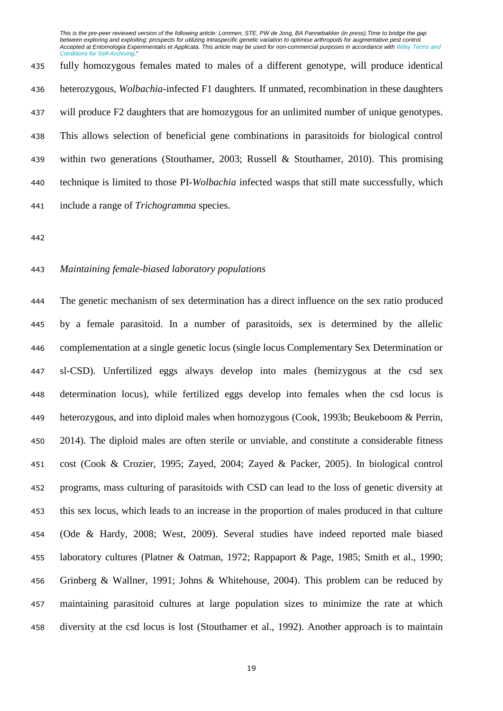fully homozygous females mated to males of a different genotype, will produce identical heterozygous, *Wolbachia*-infected F1 daughters. If unmated, recombination in these daughters 437 will produce F2 daughters that are homozygous for an unlimited number of unique genotypes. This allows selection of beneficial gene combinations in parasitoids for biological control within two generations (Stouthamer, 2003; Russell & Stouthamer, 2010). This promising technique is limited to those PI-*Wolbachia* infected wasps that still mate successfully, which include a range of *Trichogramma* species.

### *Maintaining female-biased laboratory populations*

 The genetic mechanism of sex determination has a direct influence on the sex ratio produced by a female parasitoid. In a number of parasitoids, sex is determined by the allelic complementation at a single genetic locus (single locus Complementary Sex Determination or sl-CSD). Unfertilized eggs always develop into males (hemizygous at the csd sex determination locus), while fertilized eggs develop into females when the csd locus is heterozygous, and into diploid males when homozygous (Cook, 1993b; Beukeboom & Perrin, 2014). The diploid males are often sterile or unviable, and constitute a considerable fitness cost (Cook & Crozier, 1995; Zayed, 2004; Zayed & Packer, 2005). In biological control programs, mass culturing of parasitoids with CSD can lead to the loss of genetic diversity at this sex locus, which leads to an increase in the proportion of males produced in that culture (Ode & Hardy, 2008; West, 2009). Several studies have indeed reported male biased laboratory cultures (Platner & Oatman, 1972; Rappaport & Page, 1985; Smith et al., 1990; Grinberg & Wallner, 1991; Johns & Whitehouse, 2004). This problem can be reduced by maintaining parasitoid cultures at large population sizes to minimize the rate at which diversity at the csd locus is lost (Stouthamer et al., 1992). Another approach is to maintain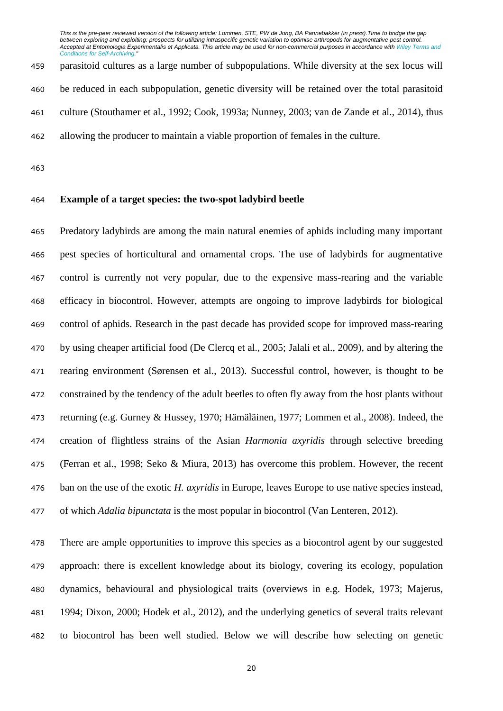parasitoid cultures as a large number of subpopulations. While diversity at the sex locus will be reduced in each subpopulation, genetic diversity will be retained over the total parasitoid culture (Stouthamer et al., 1992; Cook, 1993a; Nunney, 2003; van de Zande et al., 2014), thus allowing the producer to maintain a viable proportion of females in the culture.

# **Example of a target species: the two-spot ladybird beetle**

 Predatory ladybirds are among the main natural enemies of aphids including many important pest species of horticultural and ornamental crops. The use of ladybirds for augmentative control is currently not very popular, due to the expensive mass-rearing and the variable efficacy in biocontrol. However, attempts are ongoing to improve ladybirds for biological control of aphids. Research in the past decade has provided scope for improved mass-rearing by using cheaper artificial food (De Clercq et al., 2005; Jalali et al., 2009), and by altering the rearing environment (Sørensen et al., 2013). Successful control, however, is thought to be constrained by the tendency of the adult beetles to often fly away from the host plants without returning (e.g. Gurney & Hussey, 1970; Hämäläinen, 1977; Lommen et al., 2008). Indeed, the creation of flightless strains of the Asian *Harmonia axyridis* through selective breeding (Ferran et al., 1998; Seko & Miura, 2013) has overcome this problem. However, the recent ban on the use of the exotic *H. axyridis* in Europe, leaves Europe to use native species instead, of which *Adalia bipunctata* is the most popular in biocontrol (Van Lenteren, 2012).

 There are ample opportunities to improve this species as a biocontrol agent by our suggested approach: there is excellent knowledge about its biology, covering its ecology, population dynamics, behavioural and physiological traits (overviews in e.g. Hodek, 1973; Majerus, 1994; Dixon, 2000; Hodek et al., 2012), and the underlying genetics of several traits relevant to biocontrol has been well studied. Below we will describe how selecting on genetic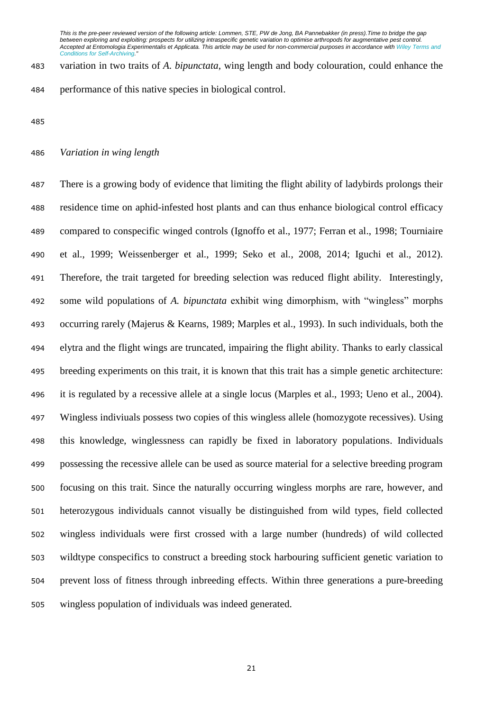variation in two traits of *A. bipunctata*, wing length and body colouration, could enhance the performance of this native species in biological control.

# *Variation in wing length*

 There is a growing body of evidence that limiting the flight ability of ladybirds prolongs their residence time on aphid-infested host plants and can thus enhance biological control efficacy compared to conspecific winged controls (Ignoffo et al., 1977; Ferran et al., 1998; Tourniaire et al., 1999; Weissenberger et al., 1999; Seko et al., 2008, 2014; Iguchi et al., 2012). Therefore, the trait targeted for breeding selection was reduced flight ability. Interestingly, some wild populations of *A. bipunctata* exhibit wing dimorphism, with "wingless" morphs occurring rarely (Majerus & Kearns, 1989; Marples et al., 1993). In such individuals, both the elytra and the flight wings are truncated, impairing the flight ability. Thanks to early classical breeding experiments on this trait, it is known that this trait has a simple genetic architecture: it is regulated by a recessive allele at a single locus (Marples et al., 1993; Ueno et al., 2004). Wingless indiviuals possess two copies of this wingless allele (homozygote recessives). Using this knowledge, winglessness can rapidly be fixed in laboratory populations. Individuals possessing the recessive allele can be used as source material for a selective breeding program focusing on this trait. Since the naturally occurring wingless morphs are rare, however, and heterozygous individuals cannot visually be distinguished from wild types, field collected wingless individuals were first crossed with a large number (hundreds) of wild collected wildtype conspecifics to construct a breeding stock harbouring sufficient genetic variation to prevent loss of fitness through inbreeding effects. Within three generations a pure-breeding wingless population of individuals was indeed generated.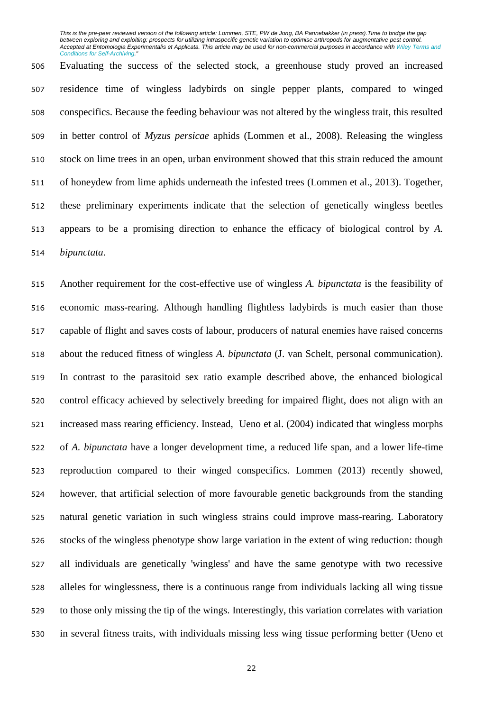Evaluating the success of the selected stock, a greenhouse study proved an increased residence time of wingless ladybirds on single pepper plants, compared to winged conspecifics. Because the feeding behaviour was not altered by the wingless trait, this resulted in better control of *Myzus persicae* aphids (Lommen et al., 2008). Releasing the wingless stock on lime trees in an open, urban environment showed that this strain reduced the amount of honeydew from lime aphids underneath the infested trees (Lommen et al., 2013). Together, these preliminary experiments indicate that the selection of genetically wingless beetles appears to be a promising direction to enhance the efficacy of biological control by *A. bipunctata*.

 Another requirement for the cost-effective use of wingless *A. bipunctata* is the feasibility of economic mass-rearing. Although handling flightless ladybirds is much easier than those capable of flight and saves costs of labour, producers of natural enemies have raised concerns about the reduced fitness of wingless *A. bipunctata* (J. van Schelt, personal communication). In contrast to the parasitoid sex ratio example described above, the enhanced biological control efficacy achieved by selectively breeding for impaired flight, does not align with an increased mass rearing efficiency. Instead, Ueno et al. (2004) indicated that wingless morphs of *A. bipunctata* have a longer development time, a reduced life span, and a lower life-time reproduction compared to their winged conspecifics. Lommen (2013) recently showed, however, that artificial selection of more favourable genetic backgrounds from the standing natural genetic variation in such wingless strains could improve mass-rearing. Laboratory stocks of the wingless phenotype show large variation in the extent of wing reduction: though all individuals are genetically 'wingless' and have the same genotype with two recessive alleles for winglessness, there is a continuous range from individuals lacking all wing tissue to those only missing the tip of the wings. Interestingly, this variation correlates with variation in several fitness traits, with individuals missing less wing tissue performing better (Ueno et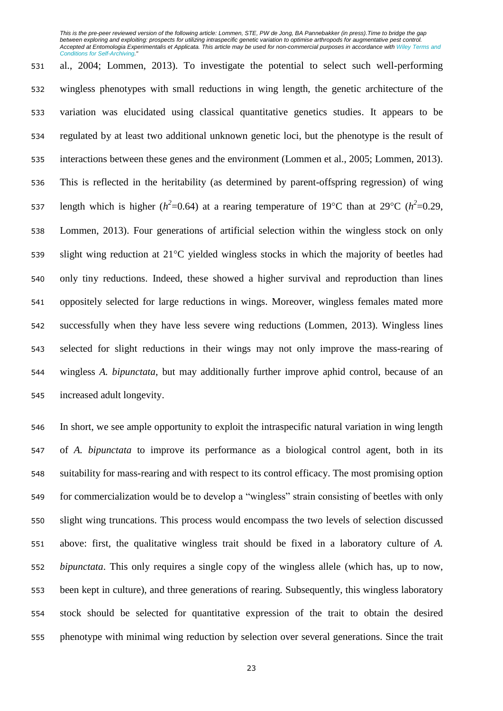al., 2004; Lommen, 2013). To investigate the potential to select such well-performing wingless phenotypes with small reductions in wing length, the genetic architecture of the variation was elucidated using classical quantitative genetics studies. It appears to be regulated by at least two additional unknown genetic loci, but the phenotype is the result of interactions between these genes and the environment (Lommen et al., 2005; Lommen, 2013). This is reflected in the heritability (as determined by parent-offspring regression) of wing 537 length which is higher ( $h^2$ =0.64) at a rearing temperature of 19°C than at 29°C ( $h^2$ =0.29, Lommen, 2013). Four generations of artificial selection within the wingless stock on only 539 slight wing reduction at  $21^{\circ}$ C vielded wingless stocks in which the majority of beetles had only tiny reductions. Indeed, these showed a higher survival and reproduction than lines oppositely selected for large reductions in wings. Moreover, wingless females mated more successfully when they have less severe wing reductions (Lommen, 2013). Wingless lines selected for slight reductions in their wings may not only improve the mass-rearing of wingless *A. bipunctata*, but may additionally further improve aphid control, because of an increased adult longevity.

 In short, we see ample opportunity to exploit the intraspecific natural variation in wing length of *A. bipunctata* to improve its performance as a biological control agent, both in its suitability for mass-rearing and with respect to its control efficacy. The most promising option for commercialization would be to develop a "wingless" strain consisting of beetles with only slight wing truncations. This process would encompass the two levels of selection discussed above: first, the qualitative wingless trait should be fixed in a laboratory culture of *A. bipunctata*. This only requires a single copy of the wingless allele (which has, up to now, been kept in culture), and three generations of rearing. Subsequently, this wingless laboratory stock should be selected for quantitative expression of the trait to obtain the desired phenotype with minimal wing reduction by selection over several generations. Since the trait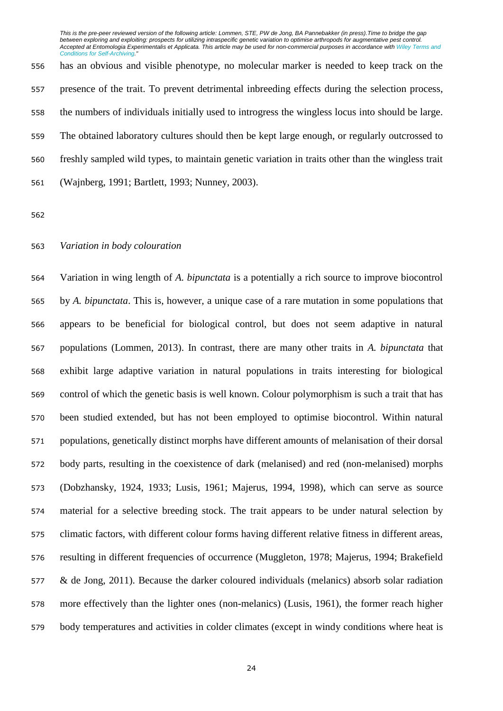has an obvious and visible phenotype, no molecular marker is needed to keep track on the presence of the trait. To prevent detrimental inbreeding effects during the selection process, the numbers of individuals initially used to introgress the wingless locus into should be large. The obtained laboratory cultures should then be kept large enough, or regularly outcrossed to freshly sampled wild types, to maintain genetic variation in traits other than the wingless trait (Wajnberg, 1991; Bartlett, 1993; Nunney, 2003).

## *Variation in body colouration*

 Variation in wing length of *A. bipunctata* is a potentially a rich source to improve biocontrol by *A. bipunctata*. This is, however, a unique case of a rare mutation in some populations that appears to be beneficial for biological control, but does not seem adaptive in natural populations (Lommen, 2013). In contrast, there are many other traits in *A. bipunctata* that exhibit large adaptive variation in natural populations in traits interesting for biological control of which the genetic basis is well known. Colour polymorphism is such a trait that has been studied extended, but has not been employed to optimise biocontrol. Within natural populations, genetically distinct morphs have different amounts of melanisation of their dorsal body parts, resulting in the coexistence of dark (melanised) and red (non-melanised) morphs (Dobzhansky, 1924, 1933; Lusis, 1961; Majerus, 1994, 1998), which can serve as source material for a selective breeding stock. The trait appears to be under natural selection by climatic factors, with different colour forms having different relative fitness in different areas, resulting in different frequencies of occurrence (Muggleton, 1978; Majerus, 1994; Brakefield & de Jong, 2011). Because the darker coloured individuals (melanics) absorb solar radiation more effectively than the lighter ones (non-melanics) (Lusis, 1961), the former reach higher body temperatures and activities in colder climates (except in windy conditions where heat is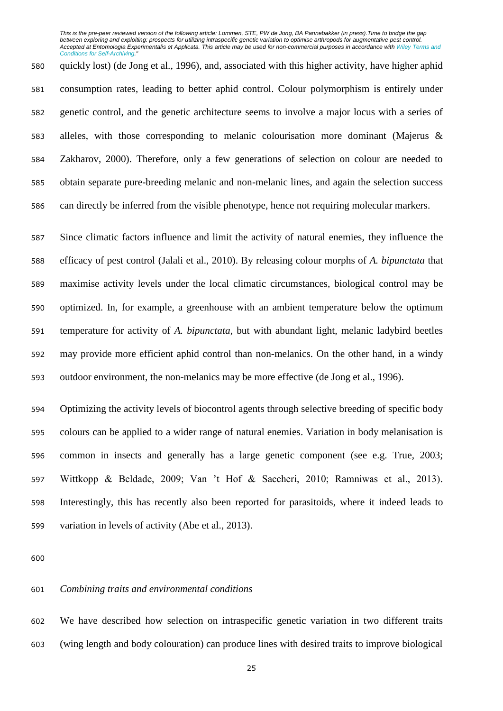quickly lost) (de Jong et al., 1996), and, associated with this higher activity, have higher aphid consumption rates, leading to better aphid control. Colour polymorphism is entirely under genetic control, and the genetic architecture seems to involve a major locus with a series of alleles, with those corresponding to melanic colourisation more dominant (Majerus & Zakharov, 2000). Therefore, only a few generations of selection on colour are needed to obtain separate pure-breeding melanic and non-melanic lines, and again the selection success can directly be inferred from the visible phenotype, hence not requiring molecular markers.

 Since climatic factors influence and limit the activity of natural enemies, they influence the efficacy of pest control (Jalali et al., 2010). By releasing colour morphs of *A. bipunctata* that maximise activity levels under the local climatic circumstances, biological control may be optimized. In, for example, a greenhouse with an ambient temperature below the optimum temperature for activity of *A. bipunctata*, but with abundant light, melanic ladybird beetles may provide more efficient aphid control than non-melanics. On the other hand, in a windy outdoor environment, the non-melanics may be more effective (de Jong et al., 1996).

 Optimizing the activity levels of biocontrol agents through selective breeding of specific body colours can be applied to a wider range of natural enemies. Variation in body melanisation is common in insects and generally has a large genetic component (see e.g. True, 2003; Wittkopp & Beldade, 2009; Van 't Hof & Saccheri, 2010; Ramniwas et al., 2013). Interestingly, this has recently also been reported for parasitoids, where it indeed leads to variation in levels of activity (Abe et al., 2013).

## *Combining traits and environmental conditions*

 We have described how selection on intraspecific genetic variation in two different traits (wing length and body colouration) can produce lines with desired traits to improve biological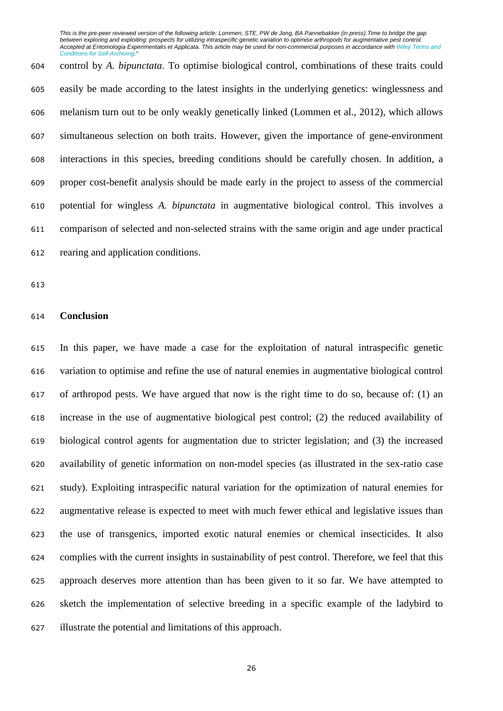control by *A. bipunctata*. To optimise biological control, combinations of these traits could easily be made according to the latest insights in the underlying genetics: winglessness and melanism turn out to be only weakly genetically linked (Lommen et al., 2012), which allows simultaneous selection on both traits. However, given the importance of gene-environment interactions in this species, breeding conditions should be carefully chosen. In addition, a proper cost-benefit analysis should be made early in the project to assess of the commercial potential for wingless *A. bipunctata* in augmentative biological control. This involves a comparison of selected and non-selected strains with the same origin and age under practical rearing and application conditions.

## **Conclusion**

 In this paper, we have made a case for the exploitation of natural intraspecific genetic variation to optimise and refine the use of natural enemies in augmentative biological control of arthropod pests. We have argued that now is the right time to do so, because of: (1) an increase in the use of augmentative biological pest control; (2) the reduced availability of biological control agents for augmentation due to stricter legislation; and (3) the increased availability of genetic information on non-model species (as illustrated in the sex-ratio case study). Exploiting intraspecific natural variation for the optimization of natural enemies for augmentative release is expected to meet with much fewer ethical and legislative issues than the use of transgenics, imported exotic natural enemies or chemical insecticides. It also complies with the current insights in sustainability of pest control. Therefore, we feel that this approach deserves more attention than has been given to it so far. We have attempted to sketch the implementation of selective breeding in a specific example of the ladybird to illustrate the potential and limitations of this approach.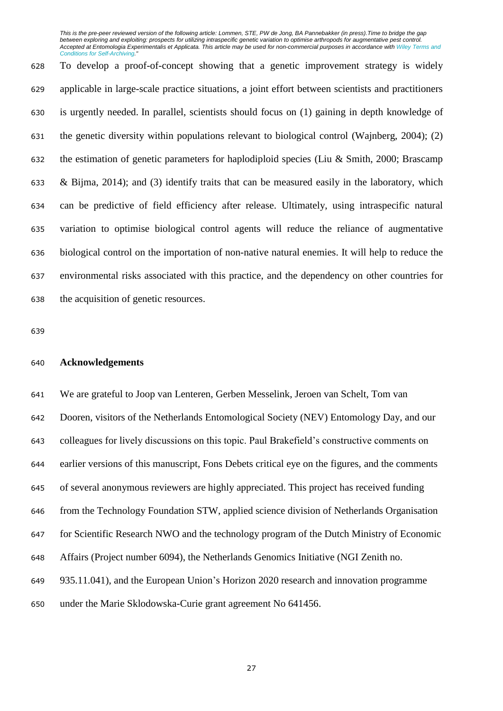To develop a proof-of-concept showing that a genetic improvement strategy is widely applicable in large-scale practice situations, a joint effort between scientists and practitioners is urgently needed. In parallel, scientists should focus on (1) gaining in depth knowledge of the genetic diversity within populations relevant to biological control (Wajnberg, 2004); (2) the estimation of genetic parameters for haplodiploid species (Liu & Smith, 2000; Brascamp & Bijma, 2014); and (3) identify traits that can be measured easily in the laboratory, which can be predictive of field efficiency after release. Ultimately, using intraspecific natural variation to optimise biological control agents will reduce the reliance of augmentative biological control on the importation of non-native natural enemies. It will help to reduce the environmental risks associated with this practice, and the dependency on other countries for the acquisition of genetic resources.

### **Acknowledgements**

 We are grateful to Joop van Lenteren, Gerben Messelink, Jeroen van Schelt, Tom van Dooren, visitors of the Netherlands Entomological Society (NEV) Entomology Day, and our colleagues for lively discussions on this topic. Paul Brakefield's constructive comments on earlier versions of this manuscript, Fons Debets critical eye on the figures, and the comments of several anonymous reviewers are highly appreciated. This project has received funding from the Technology Foundation STW, applied science division of Netherlands Organisation for Scientific Research NWO and the technology program of the Dutch Ministry of Economic Affairs (Project number 6094), the Netherlands Genomics Initiative (NGI Zenith no. 935.11.041), and the European Union's Horizon 2020 research and innovation programme under the Marie Sklodowska-Curie grant agreement No 641456.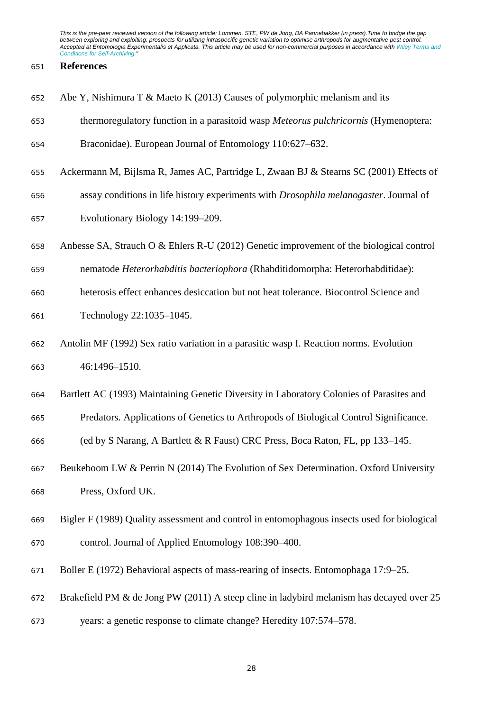### **References**

|  |  | 652 Abe Y, Nishimura T & Maeto K (2013) Causes of polymorphic melanism and its |  |  |  |
|--|--|--------------------------------------------------------------------------------|--|--|--|
|--|--|--------------------------------------------------------------------------------|--|--|--|

thermoregulatory function in a parasitoid wasp *Meteorus pulchricornis* (Hymenoptera:

Braconidae). European Journal of Entomology 110:627–632.

- Ackermann M, Bijlsma R, James AC, Partridge L, Zwaan BJ & Stearns SC (2001) Effects of
- assay conditions in life history experiments with *Drosophila melanogaster*. Journal of
- Evolutionary Biology 14:199–209.
- Anbesse SA, Strauch O & Ehlers R-U (2012) Genetic improvement of the biological control
- nematode *Heterorhabditis bacteriophora* (Rhabditidomorpha: Heterorhabditidae):
- heterosis effect enhances desiccation but not heat tolerance. Biocontrol Science and
- Technology 22:1035–1045.
- Antolin MF (1992) Sex ratio variation in a parasitic wasp I. Reaction norms. Evolution 46:1496–1510.
- Bartlett AC (1993) Maintaining Genetic Diversity in Laboratory Colonies of Parasites and
- Predators. Applications of Genetics to Arthropods of Biological Control Significance.

(ed by S Narang, A Bartlett & R Faust) CRC Press, Boca Raton, FL, pp 133–145.

- Beukeboom LW & Perrin N (2014) The Evolution of Sex Determination. Oxford University Press, Oxford UK.
- Bigler F (1989) Quality assessment and control in entomophagous insects used for biological control. Journal of Applied Entomology 108:390–400.
- Boller E (1972) Behavioral aspects of mass-rearing of insects. Entomophaga 17:9–25.
- Brakefield PM & de Jong PW (2011) A steep cline in ladybird melanism has decayed over 25
- years: a genetic response to climate change? Heredity 107:574–578.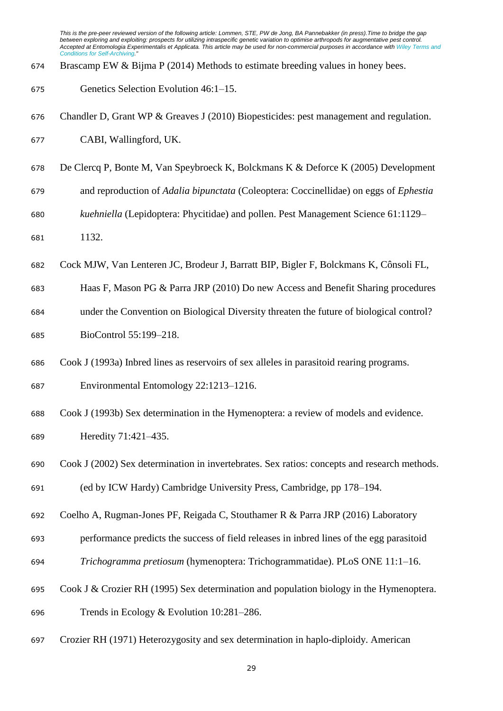- Brascamp EW & Bijma P (2014) Methods to estimate breeding values in honey bees.
- Genetics Selection Evolution 46:1–15.
- Chandler D, Grant WP & Greaves J (2010) Biopesticides: pest management and regulation. CABI, Wallingford, UK.
- De Clercq P, Bonte M, Van Speybroeck K, Bolckmans K & Deforce K (2005) Development
- and reproduction of *Adalia bipunctata* (Coleoptera: Coccinellidae) on eggs of *Ephestia*
- *kuehniella* (Lepidoptera: Phycitidae) and pollen. Pest Management Science 61:1129–
- 1132.
- Cock MJW, Van Lenteren JC, Brodeur J, Barratt BIP, Bigler F, Bolckmans K, Cônsoli FL,
- Haas F, Mason PG & Parra JRP (2010) Do new Access and Benefit Sharing procedures
- under the Convention on Biological Diversity threaten the future of biological control? BioControl 55:199–218.
- Cook J (1993a) Inbred lines as reservoirs of sex alleles in parasitoid rearing programs.
- Environmental Entomology 22:1213–1216.
- Cook J (1993b) Sex determination in the Hymenoptera: a review of models and evidence. Heredity 71:421–435.
- Cook J (2002) Sex determination in invertebrates. Sex ratios: concepts and research methods. (ed by ICW Hardy) Cambridge University Press, Cambridge, pp 178–194.
- Coelho A, Rugman-Jones PF, Reigada C, Stouthamer R & Parra JRP (2016) Laboratory
- performance predicts the success of field releases in inbred lines of the egg parasitoid
- *Trichogramma pretiosum* (hymenoptera: Trichogrammatidae). PLoS ONE 11:1–16.
- Cook J & Crozier RH (1995) Sex determination and population biology in the Hymenoptera.
- Trends in Ecology & Evolution 10:281–286.
- Crozier RH (1971) Heterozygosity and sex determination in haplo-diploidy. American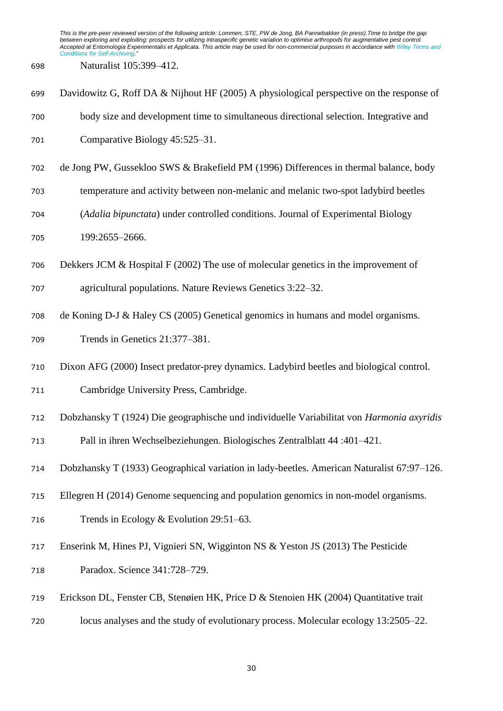Naturalist 105:399–412.

| 699 | Davidowitz G, Roff DA & Nijhout HF (2005) A physiological perspective on the response of   |
|-----|--------------------------------------------------------------------------------------------|
| 700 | body size and development time to simultaneous directional selection. Integrative and      |
| 701 | Comparative Biology 45:525-31.                                                             |
| 702 | de Jong PW, Gussekloo SWS & Brakefield PM (1996) Differences in thermal balance, body      |
| 703 | temperature and activity between non-melanic and melanic two-spot ladybird beetles         |
| 704 | (Adalia bipunctata) under controlled conditions. Journal of Experimental Biology           |
| 705 | 199:2655-2666.                                                                             |
| 706 | Dekkers JCM $&$ Hospital F (2002) The use of molecular genetics in the improvement of      |
| 707 | agricultural populations. Nature Reviews Genetics 3:22–32.                                 |
| 708 | de Koning D-J & Haley CS (2005) Genetical genomics in humans and model organisms.          |
| 709 | Trends in Genetics 21:377-381.                                                             |
| 710 | Dixon AFG (2000) Insect predator-prey dynamics. Ladybird beetles and biological control.   |
| 711 | Cambridge University Press, Cambridge.                                                     |
| 712 | Dobzhansky T (1924) Die geographische und individuelle Variabilitat von Harmonia axyridis  |
| 713 | Pall in ihren Wechselbeziehungen. Biologisches Zentralblatt 44:401-421.                    |
| 714 | Dobzhansky T (1933) Geographical variation in lady-beetles. American Naturalist 67:97–126. |
| 715 | Ellegren H (2014) Genome sequencing and population genomics in non-model organisms.        |
| 716 | Trends in Ecology & Evolution $29:51-63$ .                                                 |
| 717 | Enserink M, Hines PJ, Vignieri SN, Wigginton NS & Yeston JS (2013) The Pesticide           |
| 718 | Paradox. Science 341:728-729.                                                              |
| 719 | Erickson DL, Fenster CB, Stengien HK, Price D & Stenoien HK (2004) Quantitative trait      |
| 720 | locus analyses and the study of evolutionary process. Molecular ecology 13:2505–22.        |
|     |                                                                                            |
|     | 30                                                                                         |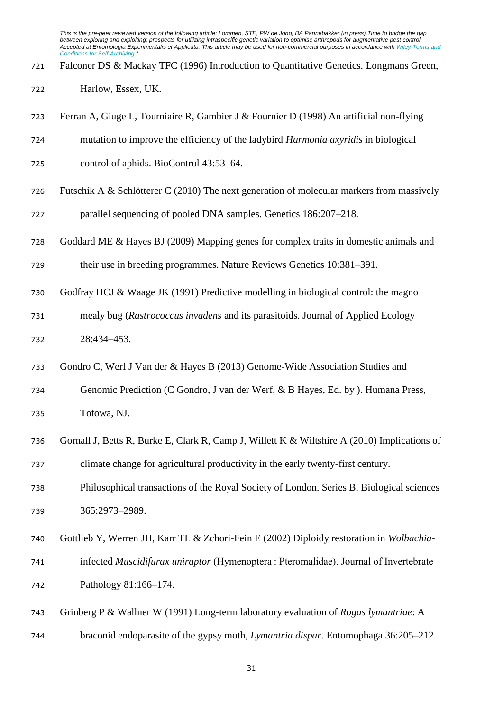- Falconer DS & Mackay TFC (1996) Introduction to Quantitative Genetics. Longmans Green,
- Harlow, Essex, UK.
- Ferran A, Giuge L, Tourniaire R, Gambier J & Fournier D (1998) An artificial non-flying
- mutation to improve the efficiency of the ladybird *Harmonia axyridis* in biological
- control of aphids. BioControl 43:53–64.
- Futschik A & Schlötterer C (2010) The next generation of molecular markers from massively
- parallel sequencing of pooled DNA samples. Genetics 186:207–218.
- Goddard ME & Hayes BJ (2009) Mapping genes for complex traits in domestic animals and
- their use in breeding programmes. Nature Reviews Genetics 10:381–391.
- Godfray HCJ & Waage JK (1991) Predictive modelling in biological control: the magno
- mealy bug (*Rastrococcus invadens* and its parasitoids. Journal of Applied Ecology 28:434–453.
- Gondro C, Werf J Van der & Hayes B (2013) Genome-Wide Association Studies and
- Genomic Prediction (C Gondro, J van der Werf, & B Hayes, Ed. by ). Humana Press, Totowa, NJ.
- Gornall J, Betts R, Burke E, Clark R, Camp J, Willett K & Wiltshire A (2010) Implications of climate change for agricultural productivity in the early twenty-first century.
- Philosophical transactions of the Royal Society of London. Series B, Biological sciences 365:2973–2989.
- Gottlieb Y, Werren JH, Karr TL & Zchori-Fein E (2002) Diploidy restoration in *Wolbachia*-
- infected *Muscidifurax uniraptor* (Hymenoptera : Pteromalidae). Journal of Invertebrate Pathology 81:166–174.
- Grinberg P & Wallner W (1991) Long-term laboratory evaluation of *Rogas lymantriae*: A
- braconid endoparasite of the gypsy moth, *Lymantria dispar*. Entomophaga 36:205–212.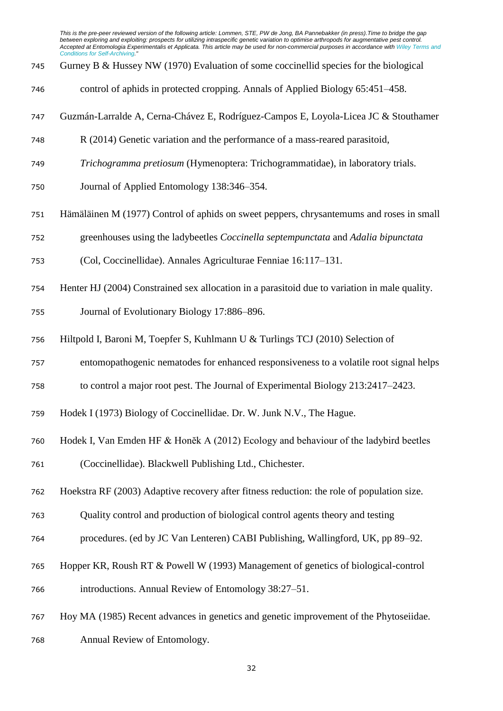- Gurney B & Hussey NW (1970) Evaluation of some coccinellid species for the biological
- control of aphids in protected cropping. Annals of Applied Biology 65:451–458.
- Guzmán-Larralde A, Cerna-Chávez E, Rodríguez-Campos E, Loyola-Licea JC & Stouthamer
- R (2014) Genetic variation and the performance of a mass-reared parasitoid,
- *Trichogramma pretiosum* (Hymenoptera: Trichogrammatidae), in laboratory trials.
- Journal of Applied Entomology 138:346–354.
- Hämäläinen M (1977) Control of aphids on sweet peppers, chrysantemums and roses in small
- greenhouses using the ladybeetles *Coccinella septempunctata* and *Adalia bipunctata*
- (Col, Coccinellidae). Annales Agriculturae Fenniae 16:117–131.
- Henter HJ (2004) Constrained sex allocation in a parasitoid due to variation in male quality.
- Journal of Evolutionary Biology 17:886–896.
- Hiltpold I, Baroni M, Toepfer S, Kuhlmann U & Turlings TCJ (2010) Selection of
- entomopathogenic nematodes for enhanced responsiveness to a volatile root signal helps
- to control a major root pest. The Journal of Experimental Biology 213:2417–2423.
- Hodek I (1973) Biology of Coccinellidae. Dr. W. Junk N.V., The Hague.
- Hodek I, Van Emden HF & Honĕk A (2012) Ecology and behaviour of the ladybird beetles
- (Coccinellidae). Blackwell Publishing Ltd., Chichester.
- Hoekstra RF (2003) Adaptive recovery after fitness reduction: the role of population size.
- Quality control and production of biological control agents theory and testing
- procedures. (ed by JC Van Lenteren) CABI Publishing, Wallingford, UK, pp 89–92.
- Hopper KR, Roush RT & Powell W (1993) Management of genetics of biological-control introductions. Annual Review of Entomology 38:27–51.
- Hoy MA (1985) Recent advances in genetics and genetic improvement of the Phytoseiidae.
- Annual Review of Entomology.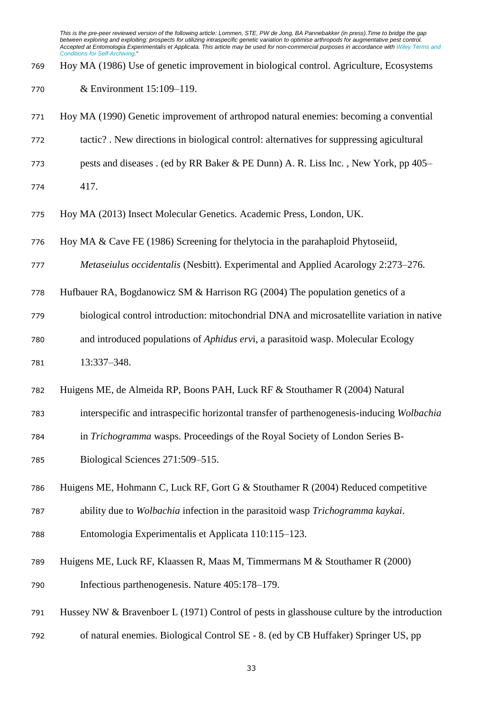Hoy MA (1986) Use of genetic improvement in biological control. Agriculture, Ecosystems

& Environment 15:109–119.

 Hoy MA (1990) Genetic improvement of arthropod natural enemies: becoming a convential tactic? . New directions in biological control: alternatives for suppressing agicultural pests and diseases . (ed by RR Baker & PE Dunn) A. R. Liss Inc. , New York, pp 405– 417. Hoy MA (2013) Insect Molecular Genetics. Academic Press, London, UK. Hoy MA & Cave FE (1986) Screening for thelytocia in the parahaploid Phytoseiid, *Metaseiulus occidentalis* (Nesbitt). Experimental and Applied Acarology 2:273–276. Hufbauer RA, Bogdanowicz SM & Harrison RG (2004) The population genetics of a biological control introduction: mitochondrial DNA and microsatellite variation in native and introduced populations of *Aphidus erv*i, a parasitoid wasp. Molecular Ecology 13:337–348. Huigens ME, de Almeida RP, Boons PAH, Luck RF & Stouthamer R (2004) Natural interspecific and intraspecific horizontal transfer of parthenogenesis-inducing *Wolbachia* in *Trichogramma* wasps. Proceedings of the Royal Society of London Series B- Biological Sciences 271:509–515. Huigens ME, Hohmann C, Luck RF, Gort G & Stouthamer R (2004) Reduced competitive ability due to *Wolbachia* infection in the parasitoid wasp *Trichogramma kaykai*. Entomologia Experimentalis et Applicata 110:115–123. Huigens ME, Luck RF, Klaassen R, Maas M, Timmermans M & Stouthamer R (2000) Infectious parthenogenesis. Nature 405:178–179. Hussey NW & Bravenboer L (1971) Control of pests in glasshouse culture by the introduction of natural enemies. Biological Control SE - 8. (ed by CB Huffaker) Springer US, pp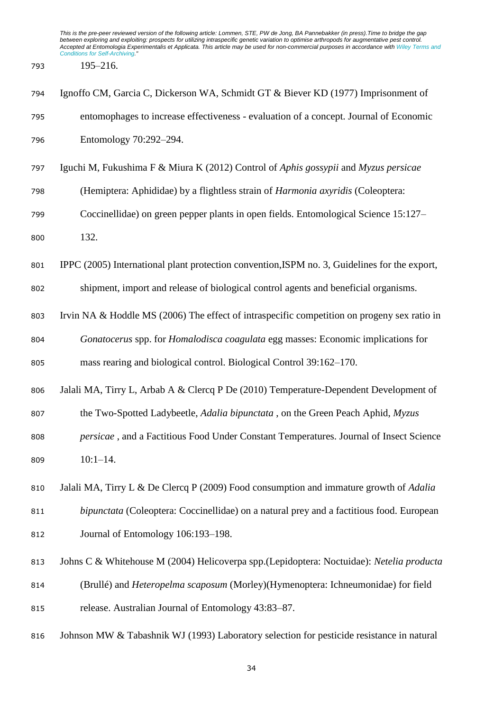195–216.

| 794 | Ignoffo CM, Garcia C, Dickerson WA, Schmidt GT & Biever KD (1977) Imprisonment of               |
|-----|-------------------------------------------------------------------------------------------------|
| 795 | entomophages to increase effectiveness - evaluation of a concept. Journal of Economic           |
| 796 | Entomology 70:292-294.                                                                          |
| 797 | Iguchi M, Fukushima F & Miura K (2012) Control of Aphis gossypii and Myzus persicae             |
| 798 | (Hemiptera: Aphididae) by a flightless strain of Harmonia axyridis (Coleoptera:                 |
| 799 | Coccinellidae) on green pepper plants in open fields. Entomological Science 15:127–             |
| 800 | 132.                                                                                            |
| 801 | IPPC (2005) International plant protection convention, ISPM no. 3, Guidelines for the export,   |
| 802 | shipment, import and release of biological control agents and beneficial organisms.             |
| 803 | Irvin NA & Hoddle MS (2006) The effect of intraspecific competition on progeny sex ratio in     |
| 804 | Gonatocerus spp. for Homalodisca coagulata egg masses: Economic implications for                |
| 805 | mass rearing and biological control. Biological Control 39:162-170.                             |
| 806 | Jalali MA, Tirry L, Arbab A & Clercq P De (2010) Temperature-Dependent Development of           |
| 807 | the Two-Spotted Ladybeetle, Adalia bipunctata, on the Green Peach Aphid, Myzus                  |
| 808 | persicae, and a Factitious Food Under Constant Temperatures. Journal of Insect Science          |
| 809 | $10:1-14.$                                                                                      |
| 810 | Jalali MA, Tirry L & De Clercq P (2009) Food consumption and immature growth of <i>Adalia</i>   |
| 811 | <i>bipunctata</i> (Coleoptera: Coccinellidae) on a natural prey and a factitious food. European |
| 812 | Journal of Entomology 106:193-198.                                                              |
| 813 | Johns C & Whitehouse M (2004) Helicoverpa spp.(Lepidoptera: Noctuidae): Netelia producta        |
| 814 | (Brullé) and <i>Heteropelma scaposum</i> (Morley)(Hymenoptera: Ichneumonidae) for field         |
| 815 | release. Australian Journal of Entomology 43:83-87.                                             |
| 816 | Johnson MW & Tabashnik WJ (1993) Laboratory selection for pesticide resistance in natural       |
|     |                                                                                                 |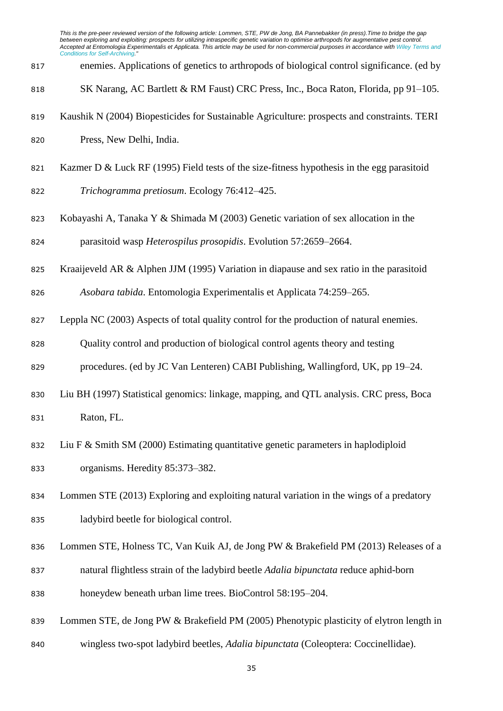| 817 | enemies. Applications of genetics to arthropods of biological control significance. (ed by  |
|-----|---------------------------------------------------------------------------------------------|
| 818 | SK Narang, AC Bartlett & RM Faust) CRC Press, Inc., Boca Raton, Florida, pp 91–105.         |
| 819 | Kaushik N (2004) Biopesticides for Sustainable Agriculture: prospects and constraints. TERI |
| 820 | Press, New Delhi, India.                                                                    |
| 821 | Kazmer D & Luck RF (1995) Field tests of the size-fitness hypothesis in the egg parasitoid  |
| 822 | Trichogramma pretiosum. Ecology 76:412-425.                                                 |
| 823 | Kobayashi A, Tanaka Y & Shimada M $(2003)$ Genetic variation of sex allocation in the       |
| 824 | parasitoid wasp <i>Heterospilus prosopidis</i> . Evolution 57:2659–2664.                    |
| 825 | Kraaijeveld AR & Alphen JJM (1995) Variation in diapause and sex ratio in the parasitoid    |
| 826 | Asobara tabida. Entomologia Experimentalis et Applicata 74:259-265.                         |

- Leppla NC (2003) Aspects of total quality control for the production of natural enemies.
- Quality control and production of biological control agents theory and testing
- procedures. (ed by JC Van Lenteren) CABI Publishing, Wallingford, UK, pp 19–24.
- Liu BH (1997) Statistical genomics: linkage, mapping, and QTL analysis. CRC press, Boca Raton, FL.
- Liu F & Smith SM (2000) Estimating quantitative genetic parameters in haplodiploid organisms. Heredity 85:373–382.
- Lommen STE (2013) Exploring and exploiting natural variation in the wings of a predatory ladybird beetle for biological control.
- Lommen STE, Holness TC, Van Kuik AJ, de Jong PW & Brakefield PM (2013) Releases of a
- natural flightless strain of the ladybird beetle *Adalia bipunctata* reduce aphid-born
- honeydew beneath urban lime trees. BioControl 58:195–204.
- Lommen STE, de Jong PW & Brakefield PM (2005) Phenotypic plasticity of elytron length in
- wingless two-spot ladybird beetles, *Adalia bipunctata* (Coleoptera: Coccinellidae).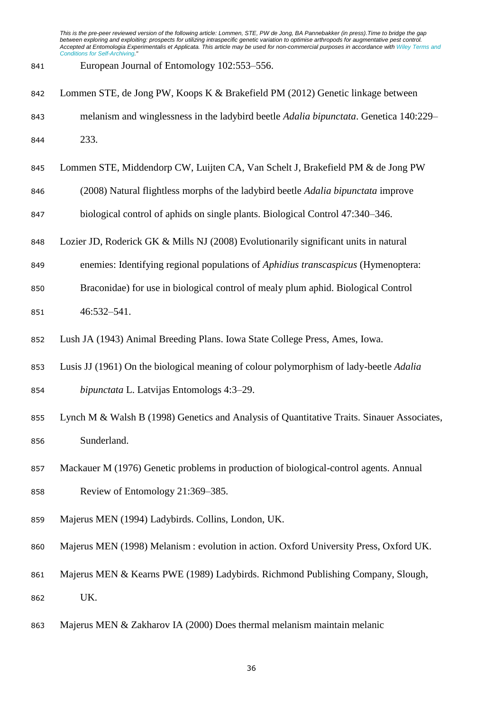- European Journal of Entomology 102:553–556.
- Lommen STE, de Jong PW, Koops K & Brakefield PM (2012) Genetic linkage between melanism and winglessness in the ladybird beetle *Adalia bipunctata*. Genetica 140:229– 233.
- Lommen STE, Middendorp CW, Luijten CA, Van Schelt J, Brakefield PM & de Jong PW
- (2008) Natural flightless morphs of the ladybird beetle *Adalia bipunctata* improve
- biological control of aphids on single plants. Biological Control 47:340–346.
- Lozier JD, Roderick GK & Mills NJ (2008) Evolutionarily significant units in natural
- enemies: Identifying regional populations of *Aphidius transcaspicus* (Hymenoptera:
- Braconidae) for use in biological control of mealy plum aphid. Biological Control
- 46:532–541.
- Lush JA (1943) Animal Breeding Plans. Iowa State College Press, Ames, Iowa.
- Lusis JJ (1961) On the biological meaning of colour polymorphism of lady-beetle *Adalia*
- *bipunctata* L. Latvijas Entomologs 4:3–29.
- Lynch M & Walsh B (1998) Genetics and Analysis of Quantitative Traits. Sinauer Associates, Sunderland.
- Mackauer M (1976) Genetic problems in production of biological-control agents. Annual Review of Entomology 21:369–385.
- Majerus MEN (1994) Ladybirds. Collins, London, UK.
- Majerus MEN (1998) Melanism : evolution in action. Oxford University Press, Oxford UK.
- Majerus MEN & Kearns PWE (1989) Ladybirds. Richmond Publishing Company, Slough, UK.
- Majerus MEN & Zakharov IA (2000) Does thermal melanism maintain melanic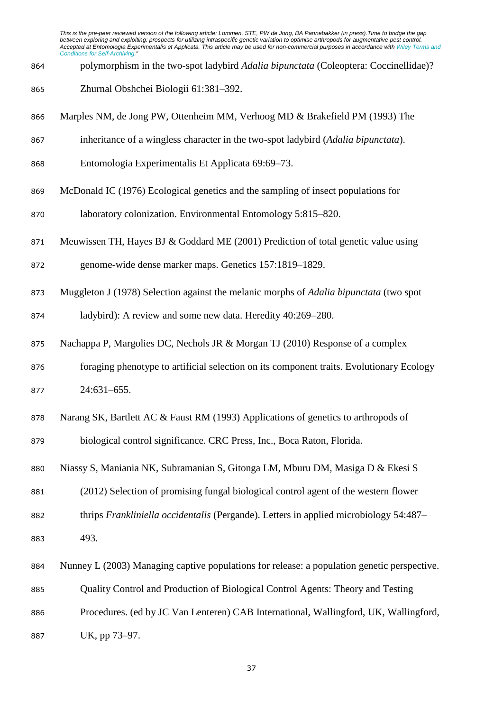- polymorphism in the two-spot ladybird *Adalia bipunctata* (Coleoptera: Coccinellidae)?
- Zhurnal Obshchei Biologii 61:381–392.
- Marples NM, de Jong PW, Ottenheim MM, Verhoog MD & Brakefield PM (1993) The
- inheritance of a wingless character in the two-spot ladybird (*Adalia bipunctata*).
- Entomologia Experimentalis Et Applicata 69:69–73.
- McDonald IC (1976) Ecological genetics and the sampling of insect populations for
- laboratory colonization. Environmental Entomology 5:815–820.
- Meuwissen TH, Hayes BJ & Goddard ME (2001) Prediction of total genetic value using
- genome-wide dense marker maps. Genetics 157:1819–1829.
- Muggleton J (1978) Selection against the melanic morphs of *Adalia bipunctata* (two spot
- ladybird): A review and some new data. Heredity 40:269–280.
- Nachappa P, Margolies DC, Nechols JR & Morgan TJ (2010) Response of a complex
- foraging phenotype to artificial selection on its component traits. Evolutionary Ecology 24:631–655.
- Narang SK, Bartlett AC & Faust RM (1993) Applications of genetics to arthropods of biological control significance. CRC Press, Inc., Boca Raton, Florida.
- Niassy S, Maniania NK, Subramanian S, Gitonga LM, Mburu DM, Masiga D & Ekesi S
- (2012) Selection of promising fungal biological control agent of the western flower
- thrips *Frankliniella occidentalis* (Pergande). Letters in applied microbiology 54:487–
- 493.
- Nunney L (2003) Managing captive populations for release: a population genetic perspective.
- Quality Control and Production of Biological Control Agents: Theory and Testing
- Procedures. (ed by JC Van Lenteren) CAB International, Wallingford, UK, Wallingford,
- UK, pp 73–97.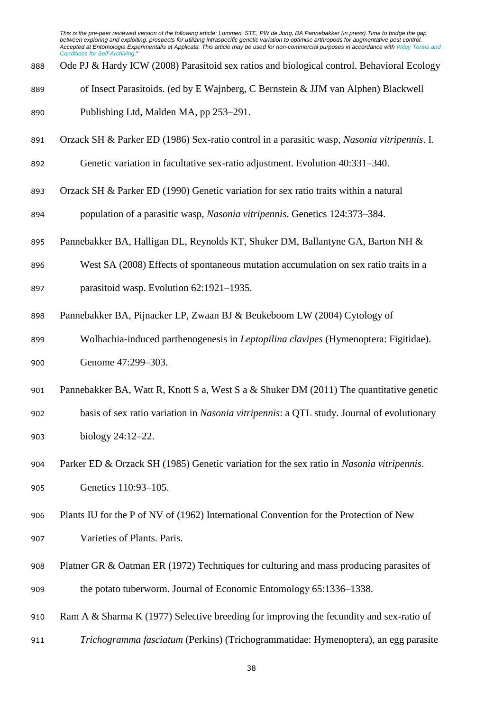Ode PJ & Hardy ICW (2008) Parasitoid sex ratios and biological control. Behavioral Ecology

of Insect Parasitoids. (ed by E Wajnberg, C Bernstein & JJM van Alphen) Blackwell

- Orzack SH & Parker ED (1986) Sex-ratio control in a parasitic wasp, *Nasonia vitripennis*. I.
- Genetic variation in facultative sex-ratio adjustment. Evolution 40:331–340.
- Orzack SH & Parker ED (1990) Genetic variation for sex ratio traits within a natural
- population of a parasitic wasp, *Nasonia vitripennis*. Genetics 124:373–384.
- Pannebakker BA, Halligan DL, Reynolds KT, Shuker DM, Ballantyne GA, Barton NH &
- West SA (2008) Effects of spontaneous mutation accumulation on sex ratio traits in a
- parasitoid wasp. Evolution 62:1921–1935.
- Pannebakker BA, Pijnacker LP, Zwaan BJ & Beukeboom LW (2004) Cytology of
- Wolbachia-induced parthenogenesis in *Leptopilina clavipes* (Hymenoptera: Figitidae). 900 Genome 47:299-303.
- Pannebakker BA, Watt R, Knott S a, West S a & Shuker DM (2011) The quantitative genetic
- basis of sex ratio variation in *Nasonia vitripennis*: a QTL study. Journal of evolutionary biology 24:12–22.
- Parker ED & Orzack SH (1985) Genetic variation for the sex ratio in *Nasonia vitripennis*. Genetics 110:93–105.
- Plants IU for the P of NV of (1962) International Convention for the Protection of New
- Varieties of Plants. Paris.
- Platner GR & Oatman ER (1972) Techniques for culturing and mass producing parasites of the potato tuberworm. Journal of Economic Entomology 65:1336–1338.
- Ram A & Sharma K (1977) Selective breeding for improving the fecundity and sex-ratio of
- *Trichogramma fasciatum* (Perkins) (Trichogrammatidae: Hymenoptera), an egg parasite

Publishing Ltd, Malden MA, pp 253–291.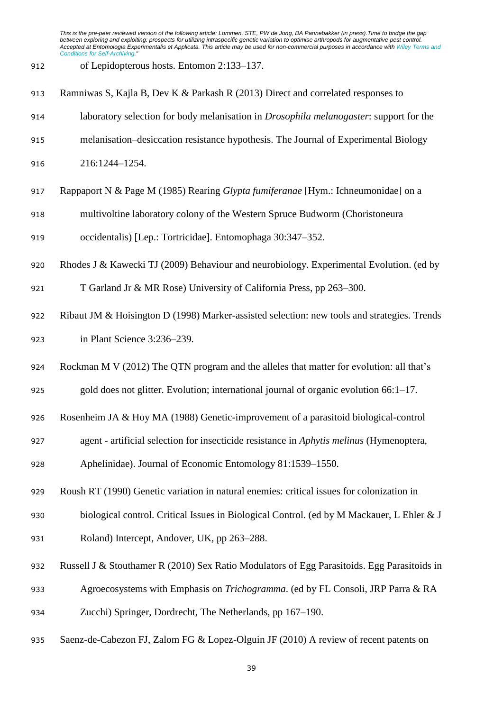- of Lepidopterous hosts. Entomon 2:133–137.
- Ramniwas S, Kajla B, Dev K & Parkash R (2013) Direct and correlated responses to
- laboratory selection for body melanisation in *Drosophila melanogaster*: support for the
- melanisation–desiccation resistance hypothesis. The Journal of Experimental Biology

216:1244–1254.

- Rappaport N & Page M (1985) Rearing *Glypta fumiferanae* [Hym.: Ichneumonidae] on a
- multivoltine laboratory colony of the Western Spruce Budworm (Choristoneura
- occidentalis) [Lep.: Tortricidae]. Entomophaga 30:347–352.
- Rhodes J & Kawecki TJ (2009) Behaviour and neurobiology. Experimental Evolution. (ed by
- T Garland Jr & MR Rose) University of California Press, pp 263–300.
- Ribaut JM & Hoisington D (1998) Marker-assisted selection: new tools and strategies. Trends in Plant Science 3:236–239.
- 924 Rockman M V (2012) The OTN program and the alleles that matter for evolution: all that's
- gold does not glitter. Evolution; international journal of organic evolution 66:1–17.
- Rosenheim JA & Hoy MA (1988) Genetic-improvement of a parasitoid biological-control
- agent artificial selection for insecticide resistance in *Aphytis melinus* (Hymenoptera,

Aphelinidae). Journal of Economic Entomology 81:1539–1550.

- Roush RT (1990) Genetic variation in natural enemies: critical issues for colonization in
- biological control. Critical Issues in Biological Control. (ed by M Mackauer, L Ehler & J
- Roland) Intercept, Andover, UK, pp 263–288.
- Russell J & Stouthamer R (2010) Sex Ratio Modulators of Egg Parasitoids. Egg Parasitoids in
- Agroecosystems with Emphasis on *Trichogramma*. (ed by FL Consoli, JRP Parra & RA
- Zucchi) Springer, Dordrecht, The Netherlands, pp 167–190.
- Saenz-de-Cabezon FJ, Zalom FG & Lopez-Olguin JF (2010) A review of recent patents on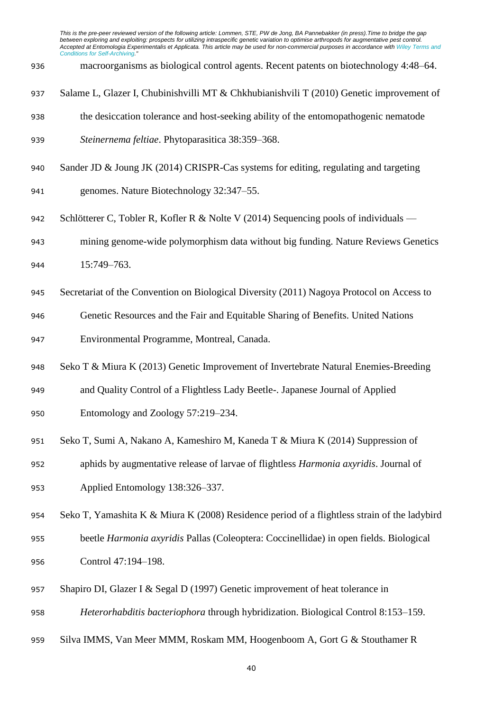macroorganisms as biological control agents. Recent patents on biotechnology 4:48–64.

- Salame L, Glazer I, Chubinishvilli MT & Chkhubianishvili T (2010) Genetic improvement of
- the desiccation tolerance and host-seeking ability of the entomopathogenic nematode
- *Steinernema feltiae*. Phytoparasitica 38:359–368.
- Sander JD & Joung JK (2014) CRISPR-Cas systems for editing, regulating and targeting
- genomes. Nature Biotechnology 32:347–55.
- 942 Schlötterer C, Tobler R, Kofler R & Nolte V (2014) Sequencing pools of individuals —
- mining genome-wide polymorphism data without big funding. Nature Reviews Genetics
- 15:749–763.
- Secretariat of the Convention on Biological Diversity (2011) Nagoya Protocol on Access to
- Genetic Resources and the Fair and Equitable Sharing of Benefits. United Nations
- Environmental Programme, Montreal, Canada.
- Seko T & Miura K (2013) Genetic Improvement of Invertebrate Natural Enemies-Breeding
- and Quality Control of a Flightless Lady Beetle-. Japanese Journal of Applied
- Entomology and Zoology 57:219–234.
- Seko T, Sumi A, Nakano A, Kameshiro M, Kaneda T & Miura K (2014) Suppression of
- aphids by augmentative release of larvae of flightless *Harmonia axyridis*. Journal of Applied Entomology 138:326–337.
- Seko T, Yamashita K & Miura K (2008) Residence period of a flightless strain of the ladybird
- beetle *Harmonia axyridis* Pallas (Coleoptera: Coccinellidae) in open fields. Biological Control 47:194–198.
- Shapiro DI, Glazer I & Segal D (1997) Genetic improvement of heat tolerance in
- *Heterorhabditis bacteriophora* through hybridization. Biological Control 8:153–159.
- Silva IMMS, Van Meer MMM, Roskam MM, Hoogenboom A, Gort G & Stouthamer R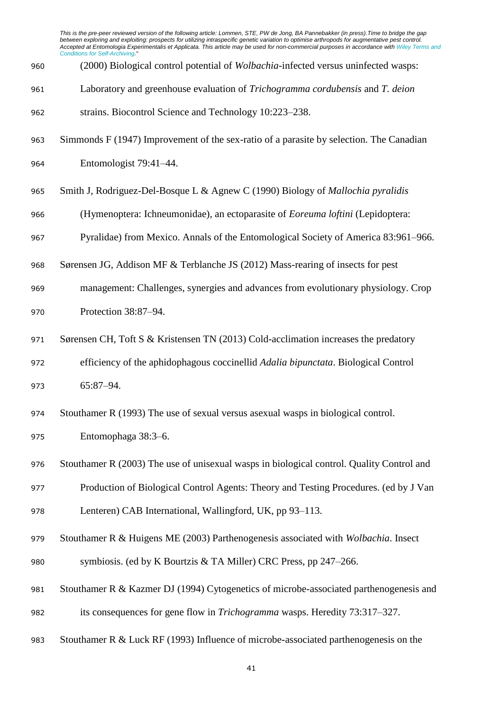|     | This is the pre-peer reviewed version of the following article: Lommen, STE, PW de Jong, BA Pannebakker (in press). Time to bridge the gap<br>between exploring and exploiting: prospects for utilizing intraspecific genetic variation to optimise arthropods for augmentative pest control.<br>Accepted at Entomologia Experimentalis et Applicata. This article may be used for non-commercial purposes in accordance with Wiley Terms and<br><b>Conditions for Self-Archiving."</b> |
|-----|-----------------------------------------------------------------------------------------------------------------------------------------------------------------------------------------------------------------------------------------------------------------------------------------------------------------------------------------------------------------------------------------------------------------------------------------------------------------------------------------|
| 960 | (2000) Biological control potential of Wolbachia-infected versus uninfected wasps:                                                                                                                                                                                                                                                                                                                                                                                                      |
| 961 | Laboratory and greenhouse evaluation of Trichogramma cordubensis and T. deion                                                                                                                                                                                                                                                                                                                                                                                                           |
| 962 | strains. Biocontrol Science and Technology 10:223-238.                                                                                                                                                                                                                                                                                                                                                                                                                                  |
| 963 | Simmonds F (1947) Improvement of the sex-ratio of a parasite by selection. The Canadian                                                                                                                                                                                                                                                                                                                                                                                                 |
| 964 | Entomologist 79:41-44.                                                                                                                                                                                                                                                                                                                                                                                                                                                                  |
| 965 | Smith J, Rodriguez-Del-Bosque L & Agnew C (1990) Biology of <i>Mallochia pyralidis</i>                                                                                                                                                                                                                                                                                                                                                                                                  |
| 966 | (Hymenoptera: Ichneumonidae), an ectoparasite of <i>Eoreuma loftini</i> (Lepidoptera:                                                                                                                                                                                                                                                                                                                                                                                                   |
| 967 | Pyralidae) from Mexico. Annals of the Entomological Society of America 83:961–966.                                                                                                                                                                                                                                                                                                                                                                                                      |
| 968 | Sørensen JG, Addison MF & Terblanche JS (2012) Mass-rearing of insects for pest                                                                                                                                                                                                                                                                                                                                                                                                         |
| 969 | management: Challenges, synergies and advances from evolutionary physiology. Crop                                                                                                                                                                                                                                                                                                                                                                                                       |
| 970 | Protection 38:87-94.                                                                                                                                                                                                                                                                                                                                                                                                                                                                    |
| 971 | Sørensen CH, Toft S & Kristensen TN (2013) Cold-acclimation increases the predatory                                                                                                                                                                                                                                                                                                                                                                                                     |
| 972 | efficiency of the aphidophagous coccinellid Adalia bipunctata. Biological Control                                                                                                                                                                                                                                                                                                                                                                                                       |
| 973 | $65:87 - 94.$                                                                                                                                                                                                                                                                                                                                                                                                                                                                           |
| 974 | Stouthamer R (1993) The use of sexual versus asexual wasps in biological control.                                                                                                                                                                                                                                                                                                                                                                                                       |
| 975 | Entomophaga 38:3-6.                                                                                                                                                                                                                                                                                                                                                                                                                                                                     |
| 976 | Stouthamer R (2003) The use of unisexual wasps in biological control. Quality Control and                                                                                                                                                                                                                                                                                                                                                                                               |
| 977 | Production of Biological Control Agents: Theory and Testing Procedures. (ed by J Van                                                                                                                                                                                                                                                                                                                                                                                                    |
| 978 | Lenteren) CAB International, Wallingford, UK, pp 93-113.                                                                                                                                                                                                                                                                                                                                                                                                                                |
| 979 | Stouthamer R & Huigens ME (2003) Parthenogenesis associated with Wolbachia. Insect                                                                                                                                                                                                                                                                                                                                                                                                      |
| 980 | symbiosis. (ed by K Bourtzis & TA Miller) CRC Press, pp 247–266.                                                                                                                                                                                                                                                                                                                                                                                                                        |
| 981 | Stouthamer R & Kazmer DJ (1994) Cytogenetics of microbe-associated parthenogenesis and                                                                                                                                                                                                                                                                                                                                                                                                  |
| 982 | its consequences for gene flow in <i>Trichogramma</i> wasps. Heredity 73:317–327.                                                                                                                                                                                                                                                                                                                                                                                                       |
| 983 | Stouthamer R & Luck RF (1993) Influence of microbe-associated parthenogenesis on the                                                                                                                                                                                                                                                                                                                                                                                                    |

```
41
```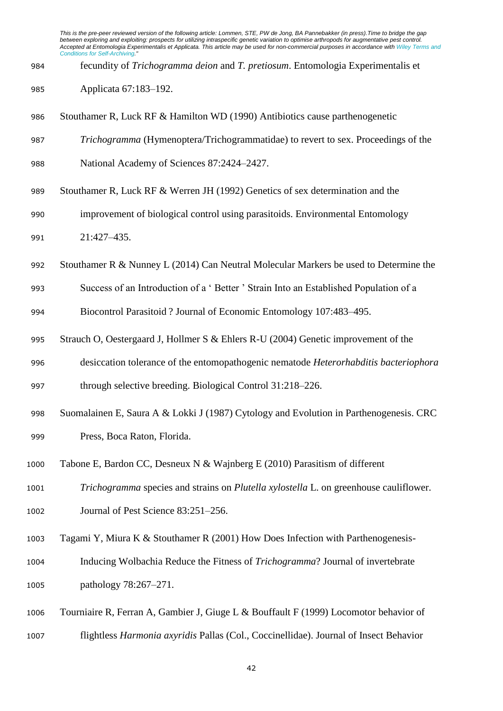- fecundity of *Trichogramma deion* and *T. pretiosum*. Entomologia Experimentalis et
- Applicata 67:183–192.
- Stouthamer R, Luck RF & Hamilton WD (1990) Antibiotics cause parthenogenetic
- *Trichogramma* (Hymenoptera/Trichogrammatidae) to revert to sex. Proceedings of the
- National Academy of Sciences 87:2424–2427.
- Stouthamer R, Luck RF & Werren JH (1992) Genetics of sex determination and the
- improvement of biological control using parasitoids. Environmental Entomology 21:427–435.
- 
- Stouthamer R & Nunney L (2014) Can Neutral Molecular Markers be used to Determine the
- Success of an Introduction of a ' Better ' Strain Into an Established Population of a
- Biocontrol Parasitoid ? Journal of Economic Entomology 107:483–495.
- Strauch O, Oestergaard J, Hollmer S & Ehlers R-U (2004) Genetic improvement of the
- desiccation tolerance of the entomopathogenic nematode *Heterorhabditis bacteriophora*

through selective breeding. Biological Control 31:218–226.

- Suomalainen E, Saura A & Lokki J (1987) Cytology and Evolution in Parthenogenesis. CRC Press, Boca Raton, Florida.
- Tabone E, Bardon CC, Desneux N & Wajnberg E (2010) Parasitism of different

 *Trichogramma* species and strains on *Plutella xylostella* L. on greenhouse cauliflower. 1002 Journal of Pest Science 83:251–256.

- Tagami Y, Miura K & Stouthamer R (2001) How Does Infection with Parthenogenesis-
- Inducing Wolbachia Reduce the Fitness of *Trichogramma*? Journal of invertebrate pathology 78:267–271.
- Tourniaire R, Ferran A, Gambier J, Giuge L & Bouffault F (1999) Locomotor behavior of flightless *Harmonia axyridis* Pallas (Col., Coccinellidae). Journal of Insect Behavior
	-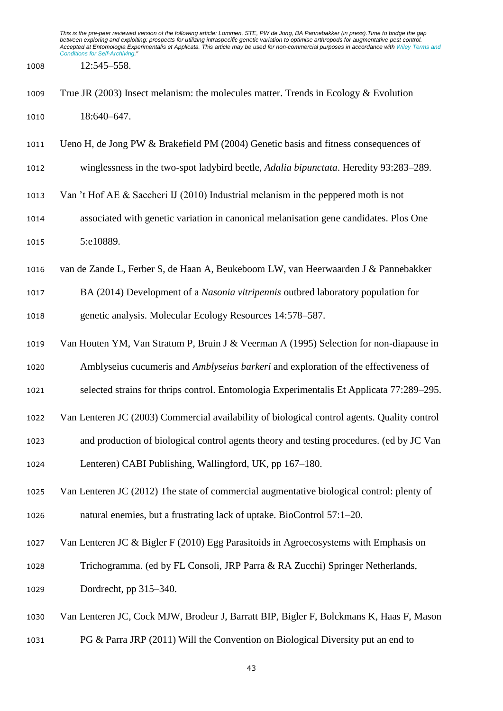12:545–558.

- True JR (2003) Insect melanism: the molecules matter. Trends in Ecology & Evolution 1010 18:640–647.
- Ueno H, de Jong PW & Brakefield PM (2004) Genetic basis and fitness consequences of
- winglessness in the two-spot ladybird beetle, *Adalia bipunctata*. Heredity 93:283–289.
- Van 't Hof AE & Saccheri IJ (2010) Industrial melanism in the peppered moth is not
- associated with genetic variation in canonical melanisation gene candidates. Plos One 1015 5:e10889.
- van de Zande L, Ferber S, de Haan A, Beukeboom LW, van Heerwaarden J & Pannebakker
- BA (2014) Development of a *Nasonia vitripennis* outbred laboratory population for genetic analysis. Molecular Ecology Resources 14:578–587.
- Van Houten YM, Van Stratum P, Bruin J & Veerman A (1995) Selection for non-diapause in
- Amblyseius cucumeris and *Amblyseius barkeri* and exploration of the effectiveness of
- selected strains for thrips control. Entomologia Experimentalis Et Applicata 77:289–295.
- Van Lenteren JC (2003) Commercial availability of biological control agents. Quality control
- and production of biological control agents theory and testing procedures. (ed by JC Van
- Lenteren) CABI Publishing, Wallingford, UK, pp 167–180.
- Van Lenteren JC (2012) The state of commercial augmentative biological control: plenty of natural enemies, but a frustrating lack of uptake. BioControl 57:1–20.
- Van Lenteren JC & Bigler F (2010) Egg Parasitoids in Agroecosystems with Emphasis on
- Trichogramma. (ed by FL Consoli, JRP Parra & RA Zucchi) Springer Netherlands, Dordrecht, pp 315–340.
- Van Lenteren JC, Cock MJW, Brodeur J, Barratt BIP, Bigler F, Bolckmans K, Haas F, Mason
- PG & Parra JRP (2011) Will the Convention on Biological Diversity put an end to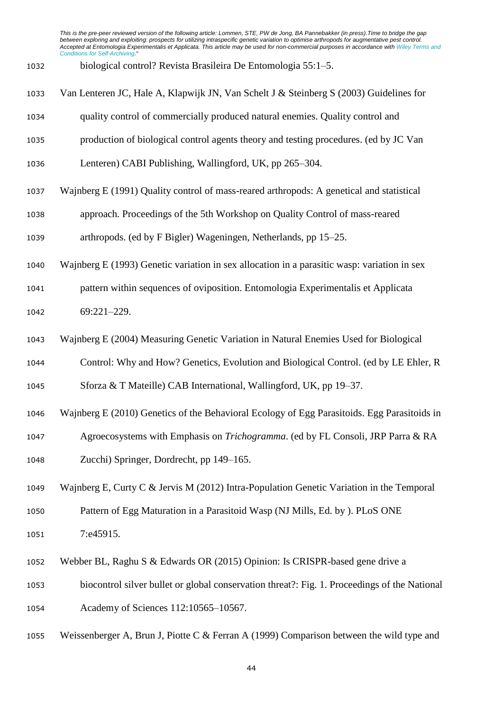- biological control? Revista Brasileira De Entomologia 55:1–5.
- Van Lenteren JC, Hale A, Klapwijk JN, Van Schelt J & Steinberg S (2003) Guidelines for
- quality control of commercially produced natural enemies. Quality control and
- production of biological control agents theory and testing procedures. (ed by JC Van
- Lenteren) CABI Publishing, Wallingford, UK, pp 265–304.
- Wajnberg E (1991) Quality control of mass-reared arthropods: A genetical and statistical
- approach. Proceedings of the 5th Workshop on Quality Control of mass-reared
- arthropods. (ed by F Bigler) Wageningen, Netherlands, pp 15–25.
- Wajnberg E (1993) Genetic variation in sex allocation in a parasitic wasp: variation in sex
- pattern within sequences of oviposition. Entomologia Experimentalis et Applicata 69:221–229.
- Wajnberg E (2004) Measuring Genetic Variation in Natural Enemies Used for Biological
- Control: Why and How? Genetics, Evolution and Biological Control. (ed by LE Ehler, R

Sforza & T Mateille) CAB International, Wallingford, UK, pp 19–37.

- Wajnberg E (2010) Genetics of the Behavioral Ecology of Egg Parasitoids. Egg Parasitoids in
- Agroecosystems with Emphasis on *Trichogramma*. (ed by FL Consoli, JRP Parra & RA
- Zucchi) Springer, Dordrecht, pp 149–165.
- Wajnberg E, Curty C & Jervis M (2012) Intra-Population Genetic Variation in the Temporal Pattern of Egg Maturation in a Parasitoid Wasp (NJ Mills, Ed. by ). PLoS ONE 1051 7:e45915.
- 
- Webber BL, Raghu S & Edwards OR (2015) Opinion: Is CRISPR-based gene drive a
- biocontrol silver bullet or global conservation threat?: Fig. 1. Proceedings of the National Academy of Sciences 112:10565–10567.
- 1055 Weissenberger A, Brun J, Piotte C & Ferran A (1999) Comparison between the wild type and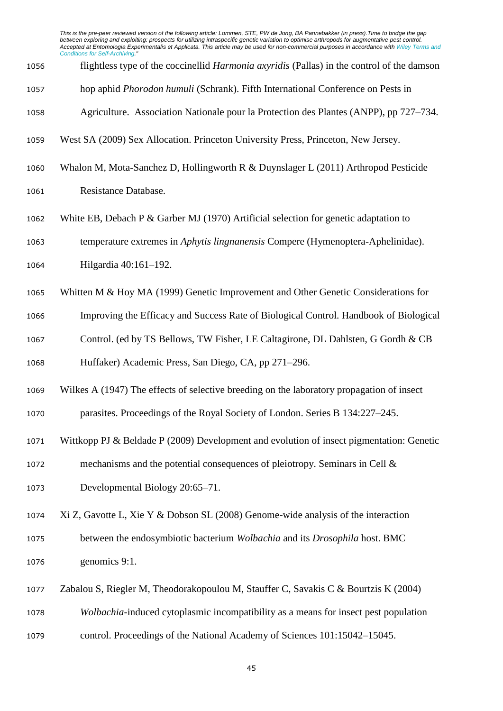- flightless type of the coccinellid *Harmonia axyridis* (Pallas) in the control of the damson hop aphid *Phorodon humuli* (Schrank). Fifth International Conference on Pests in Agriculture. Association Nationale pour la Protection des Plantes (ANPP), pp 727–734. West SA (2009) Sex Allocation. Princeton University Press, Princeton, New Jersey. Whalon M, Mota-Sanchez D, Hollingworth R & Duynslager L (2011) Arthropod Pesticide Resistance Database. White EB, Debach P & Garber MJ (1970) Artificial selection for genetic adaptation to temperature extremes in *Aphytis lingnanensis* Compere (Hymenoptera-Aphelinidae). Hilgardia 40:161–192. Whitten M & Hoy MA (1999) Genetic Improvement and Other Genetic Considerations for Improving the Efficacy and Success Rate of Biological Control. Handbook of Biological Control. (ed by TS Bellows, TW Fisher, LE Caltagirone, DL Dahlsten, G Gordh & CB Huffaker) Academic Press, San Diego, CA, pp 271–296. Wilkes A (1947) The effects of selective breeding on the laboratory propagation of insect parasites. Proceedings of the Royal Society of London. Series B 134:227–245. Wittkopp PJ & Beldade P (2009) Development and evolution of insect pigmentation: Genetic mechanisms and the potential consequences of pleiotropy. Seminars in Cell & Developmental Biology 20:65–71. Xi Z, Gavotte L, Xie Y & Dobson SL (2008) Genome-wide analysis of the interaction between the endosymbiotic bacterium *Wolbachia* and its *Drosophila* host. BMC genomics 9:1. Zabalou S, Riegler M, Theodorakopoulou M, Stauffer C, Savakis C & Bourtzis K (2004)
	-

*Wolbachia*-induced cytoplasmic incompatibility as a means for insect pest population

control. Proceedings of the National Academy of Sciences 101:15042–15045.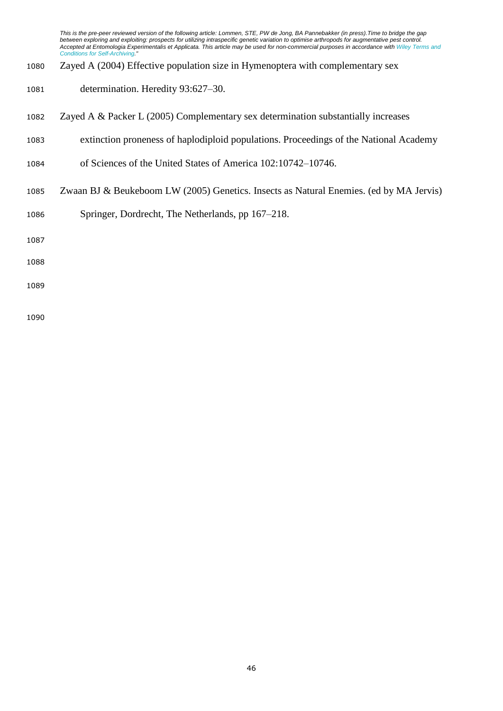- Zayed A (2004) Effective population size in Hymenoptera with complementary sex
- determination. Heredity 93:627–30.
- Zayed A & Packer L (2005) Complementary sex determination substantially increases
- extinction proneness of haplodiploid populations. Proceedings of the National Academy
- of Sciences of the United States of America 102:10742–10746.
- Zwaan BJ & Beukeboom LW (2005) Genetics. Insects as Natural Enemies. (ed by MA Jervis)
- Springer, Dordrecht, The Netherlands, pp 167–218.
- 
- 
-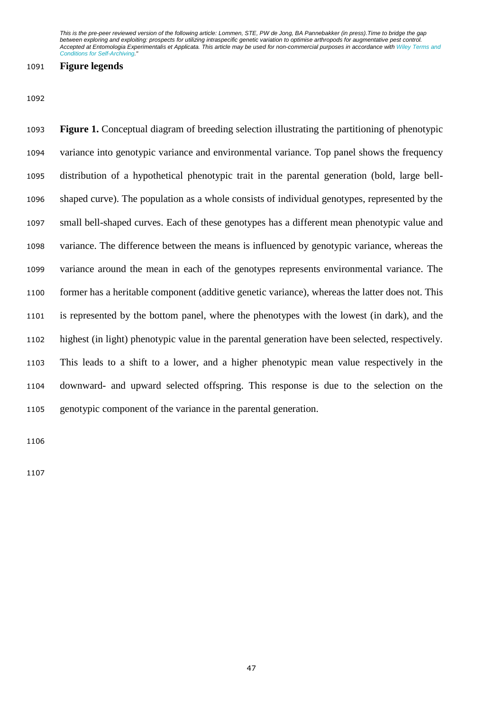## **Figure legends**

 **Figure 1.** Conceptual diagram of breeding selection illustrating the partitioning of phenotypic variance into genotypic variance and environmental variance. Top panel shows the frequency distribution of a hypothetical phenotypic trait in the parental generation (bold, large bell- shaped curve). The population as a whole consists of individual genotypes, represented by the small bell-shaped curves. Each of these genotypes has a different mean phenotypic value and variance. The difference between the means is influenced by genotypic variance, whereas the variance around the mean in each of the genotypes represents environmental variance. The former has a heritable component (additive genetic variance), whereas the latter does not. This is represented by the bottom panel, where the phenotypes with the lowest (in dark), and the highest (in light) phenotypic value in the parental generation have been selected, respectively. This leads to a shift to a lower, and a higher phenotypic mean value respectively in the downward- and upward selected offspring. This response is due to the selection on the genotypic component of the variance in the parental generation.